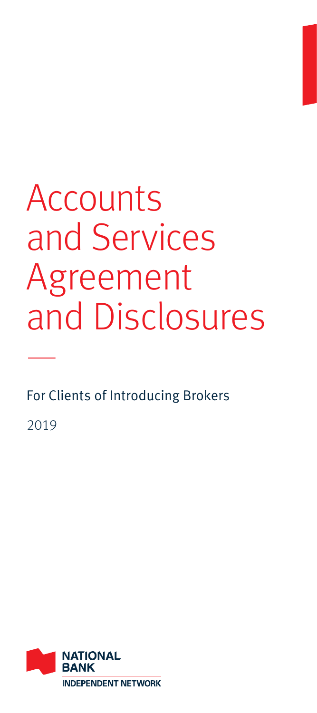# Accounts and Services Agreement and Disclosures —

For Clients of Introducing Brokers

2019

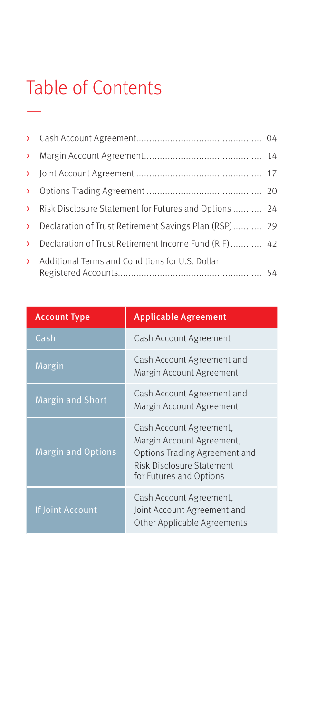# Table of Contents

—

| > Risk Disclosure Statement for Futures and Options  24 |  |
|---------------------------------------------------------|--|
| > Declaration of Trust Retirement Savings Plan (RSP) 29 |  |
| Declaration of Trust Retirement Income Fund (RIF) 42    |  |
| > Additional Terms and Conditions for U.S. Dollar       |  |

| <b>Account Type</b>       | <b>Applicable Agreement</b>                                                                                                                   |
|---------------------------|-----------------------------------------------------------------------------------------------------------------------------------------------|
| Cash                      | Cash Account Agreement                                                                                                                        |
| Margin                    | Cash Account Agreement and<br>Margin Account Agreement                                                                                        |
| <b>Margin and Short</b>   | Cash Account Agreement and<br>Margin Account Agreement                                                                                        |
| <b>Margin and Options</b> | Cash Account Agreement,<br>Margin Account Agreement,<br>Options Trading Agreement and<br>Risk Disclosure Statement<br>for Futures and Options |
| If Joint Account          | Cash Account Agreement,<br>Joint Account Agreement and<br>Other Applicable Agreements                                                         |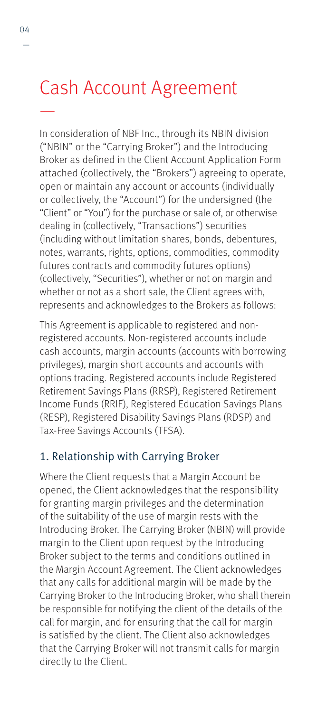## Cash Account Agreement

In consideration of NBF Inc., through its NBIN division ("NBIN" or the "Carrying Broker") and the Introducing Broker as defined in the Client Account Application Form attached (collectively, the "Brokers") agreeing to operate, open or maintain any account or accounts (individually or collectively, the "Account") for the undersigned (the "Client" or "You") for the purchase or sale of, or otherwise dealing in (collectively, "Transactions") securities (including without limitation shares, bonds, debentures, notes, warrants, rights, options, commodities, commodity futures contracts and commodity futures options) (collectively, "Securities"), whether or not on margin and whether or not as a short sale, the Client agrees with, represents and acknowledges to the Brokers as follows:

This Agreement is applicable to registered and nonregistered accounts. Non-registered accounts include cash accounts, margin accounts (accounts with borrowing privileges), margin short accounts and accounts with options trading. Registered accounts include Registered Retirement Savings Plans (RRSP), Registered Retirement Income Funds (RRIF), Registered Education Savings Plans (RESP), Registered Disability Savings Plans (RDSP) and Tax-Free Savings Accounts (TFSA).

#### 1. Relationship with Carrying Broker

Where the Client requests that a Margin Account be opened, the Client acknowledges that the responsibility for granting margin privileges and the determination of the suitability of the use of margin rests with the Introducing Broker. The Carrying Broker (NBIN) will provide margin to the Client upon request by the Introducing Broker subject to the terms and conditions outlined in the Margin Account Agreement. The Client acknowledges that any calls for additional margin will be made by the Carrying Broker to the Introducing Broker, who shall therein be responsible for notifying the client of the details of the call for margin, and for ensuring that the call for margin is satisfied by the client. The Client also acknowledges that the Carrying Broker will not transmit calls for margin directly to the Client.

—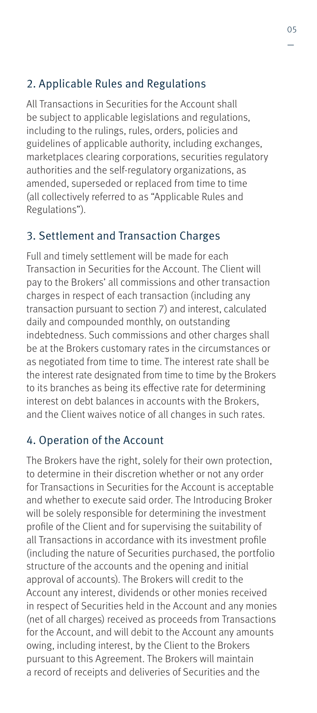#### 2. Applicable Rules and Regulations

All Transactions in Securities for the Account shall be subject to applicable legislations and regulations, including to the rulings, rules, orders, policies and guidelines of applicable authority, including exchanges, marketplaces clearing corporations, securities regulatory authorities and the self-regulatory organizations, as amended, superseded or replaced from time to time (all collectively referred to as "Applicable Rules and Regulations").

#### 3. Settlement and Transaction Charges

Full and timely settlement will be made for each Transaction in Securities for the Account. The Client will pay to the Brokers' all commissions and other transaction charges in respect of each transaction (including any transaction pursuant to section 7) and interest, calculated daily and compounded monthly, on outstanding indebtedness. Such commissions and other charges shall be at the Brokers customary rates in the circumstances or as negotiated from time to time. The interest rate shall be the interest rate designated from time to time by the Brokers to its branches as being its effective rate for determining interest on debt balances in accounts with the Brokers, and the Client waives notice of all changes in such rates.

#### 4. Operation of the Account

The Brokers have the right, solely for their own protection, to determine in their discretion whether or not any order for Transactions in Securities for the Account is acceptable and whether to execute said order. The Introducing Broker will be solely responsible for determining the investment profile of the Client and for supervising the suitability of all Transactions in accordance with its investment profile (including the nature of Securities purchased, the portfolio structure of the accounts and the opening and initial approval of accounts). The Brokers will credit to the Account any interest, dividends or other monies received in respect of Securities held in the Account and any monies (net of all charges) received as proceeds from Transactions for the Account, and will debit to the Account any amounts owing, including interest, by the Client to the Brokers pursuant to this Agreement. The Brokers will maintain a record of receipts and deliveries of Securities and the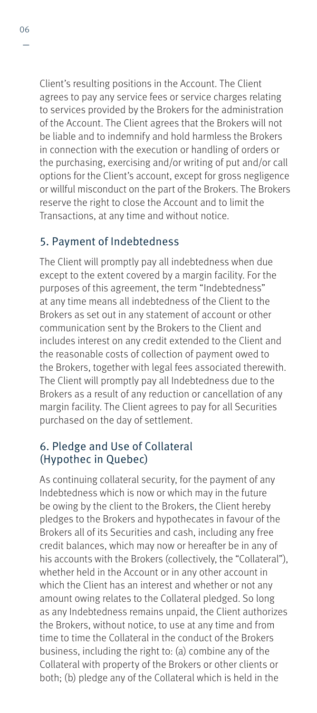Client's resulting positions in the Account. The Client agrees to pay any service fees or service charges relating to services provided by the Brokers for the administration of the Account. The Client agrees that the Brokers will not be liable and to indemnify and hold harmless the Brokers in connection with the execution or handling of orders or the purchasing, exercising and/or writing of put and/or call options for the Client's account, except for gross negligence or willful misconduct on the part of the Brokers. The Brokers reserve the right to close the Account and to limit the Transactions, at any time and without notice.

#### 5. Payment of Indebtedness

The Client will promptly pay all indebtedness when due except to the extent covered by a margin facility. For the purposes of this agreement, the term "Indebtedness" at any time means all indebtedness of the Client to the Brokers as set out in any statement of account or other communication sent by the Brokers to the Client and includes interest on any credit extended to the Client and the reasonable costs of collection of payment owed to the Brokers, together with legal fees associated therewith. The Client will promptly pay all Indebtedness due to the Brokers as a result of any reduction or cancellation of any margin facility. The Client agrees to pay for all Securities purchased on the day of settlement.

#### 6. Pledge and Use of Collateral (Hypothec in Quebec)

As continuing collateral security, for the payment of any Indebtedness which is now or which may in the future be owing by the client to the Brokers, the Client hereby pledges to the Brokers and hypothecates in favour of the Brokers all of its Securities and cash, including any free credit balances, which may now or hereafter be in any of his accounts with the Brokers (collectively, the "Collateral"), whether held in the Account or in any other account in which the Client has an interest and whether or not any amount owing relates to the Collateral pledged. So long as any Indebtedness remains unpaid, the Client authorizes the Brokers, without notice, to use at any time and from time to time the Collateral in the conduct of the Brokers business, including the right to: (a) combine any of the Collateral with property of the Brokers or other clients or both; (b) pledge any of the Collateral which is held in the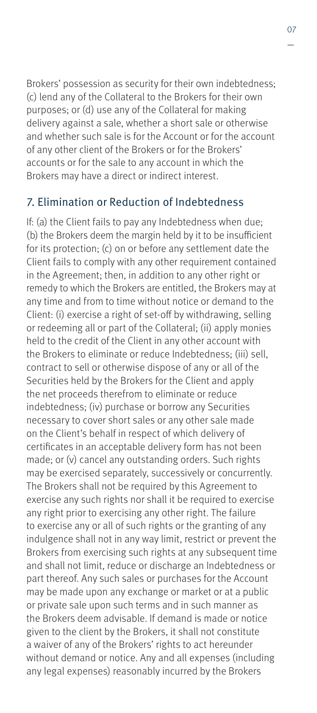Brokers' possession as security for their own indebtedness; (c) lend any of the Collateral to the Brokers for their own purposes; or (d) use any of the Collateral for making delivery against a sale, whether a short sale or otherwise and whether such sale is for the Account or for the account of any other client of the Brokers or for the Brokers' accounts or for the sale to any account in which the Brokers may have a direct or indirect interest.

#### 7. Elimination or Reduction of Indebtedness

If: (a) the Client fails to pay any Indebtedness when due; (b) the Brokers deem the margin held by it to be insufficient for its protection; (c) on or before any settlement date the Client fails to comply with any other requirement contained in the Agreement; then, in addition to any other right or remedy to which the Brokers are entitled, the Brokers may at any time and from to time without notice or demand to the Client: (i) exercise a right of set-off by withdrawing, selling or redeeming all or part of the Collateral; (ii) apply monies held to the credit of the Client in any other account with the Brokers to eliminate or reduce Indebtedness; (iii) sell, contract to sell or otherwise dispose of any or all of the Securities held by the Brokers for the Client and apply the net proceeds therefrom to eliminate or reduce indebtedness; (iv) purchase or borrow any Securities necessary to cover short sales or any other sale made on the Client's behalf in respect of which delivery of certificates in an acceptable delivery form has not been made; or (v) cancel any outstanding orders. Such rights may be exercised separately, successively or concurrently. The Brokers shall not be required by this Agreement to exercise any such rights nor shall it be required to exercise any right prior to exercising any other right. The failure to exercise any or all of such rights or the granting of any indulgence shall not in any way limit, restrict or prevent the Brokers from exercising such rights at any subsequent time and shall not limit, reduce or discharge an Indebtedness or part thereof. Any such sales or purchases for the Account may be made upon any exchange or market or at a public or private sale upon such terms and in such manner as the Brokers deem advisable. If demand is made or notice given to the client by the Brokers, it shall not constitute a waiver of any of the Brokers' rights to act hereunder without demand or notice. Any and all expenses (including any legal expenses) reasonably incurred by the Brokers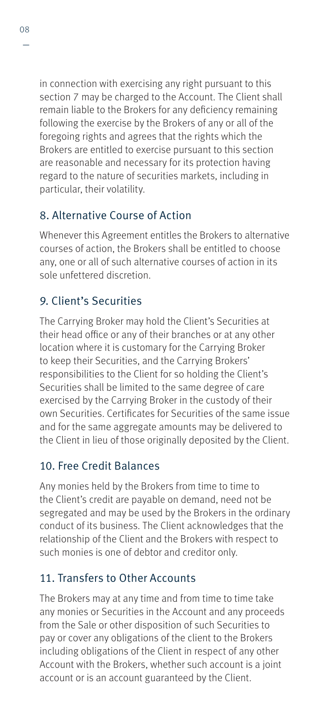in connection with exercising any right pursuant to this section 7 may be charged to the Account. The Client shall remain liable to the Brokers for any deficiency remaining following the exercise by the Brokers of any or all of the foregoing rights and agrees that the rights which the Brokers are entitled to exercise pursuant to this section are reasonable and necessary for its protection having regard to the nature of securities markets, including in particular, their volatility.

#### 8. Alternative Course of Action

Whenever this Agreement entitles the Brokers to alternative courses of action, the Brokers shall be entitled to choose any, one or all of such alternative courses of action in its sole unfettered discretion.

#### 9. Client's Securities

The Carrying Broker may hold the Client's Securities at their head office or any of their branches or at any other location where it is customary for the Carrying Broker to keep their Securities, and the Carrying Brokers' responsibilities to the Client for so holding the Client's Securities shall be limited to the same degree of care exercised by the Carrying Broker in the custody of their own Securities. Certificates for Securities of the same issue and for the same aggregate amounts may be delivered to the Client in lieu of those originally deposited by the Client.

#### 10. Free Credit Balances

Any monies held by the Brokers from time to time to the Client's credit are payable on demand, need not be segregated and may be used by the Brokers in the ordinary conduct of its business. The Client acknowledges that the relationship of the Client and the Brokers with respect to such monies is one of debtor and creditor only.

#### 11. Transfers to Other Accounts

The Brokers may at any time and from time to time take any monies or Securities in the Account and any proceeds from the Sale or other disposition of such Securities to pay or cover any obligations of the client to the Brokers including obligations of the Client in respect of any other Account with the Brokers, whether such account is a joint account or is an account guaranteed by the Client.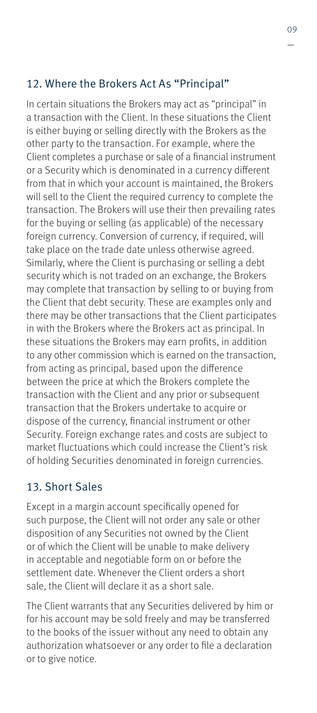#### 12. Where the Brokers Act As "Principal"

In certain situations the Brokers may act as "principal" in a transaction with the Client. In these situations the Client is either buying or selling directly with the Brokers as the other party to the transaction. For example, where the Client completes a purchase or sale of a financial instrument or a Security which is denominated in a currency different from that in which your account is maintained, the Brokers will sell to the Client the required currency to complete the transaction. The Brokers will use their then prevailing rates for the buying or selling (as applicable) of the necessary foreign currency. Conversion of currency, if required, will take place on the trade date unless otherwise agreed. Similarly, where the Client is purchasing or selling a debt security which is not traded on an exchange, the Brokers may complete that transaction by selling to or buying from the Client that debt security. These are examples only and there may be other transactions that the Client participates in with the Brokers where the Brokers act as principal. In these situations the Brokers may earn profits, in addition to any other commission which is earned on the transaction, from acting as principal, based upon the difference between the price at which the Brokers complete the transaction with the Client and any prior or subsequent transaction that the Brokers undertake to acquire or dispose of the currency, financial instrument or other Security. Foreign exchange rates and costs are subject to market fluctuations which could increase the Client's risk of holding Securities denominated in foreign currencies.

#### 13. Short Sales

Except in a margin account specifically opened for such purpose, the Client will not order any sale or other disposition of any Securities not owned by the Client or of which the Client will be unable to make delivery in acceptable and negotiable form on or before the settlement date. Whenever the Client orders a short sale, the Client will declare it as a short sale.

The Client warrants that any Securities delivered by him or for his account may be sold freely and may be transferred to the books of the issuer without any need to obtain any authorization whatsoever or any order to file a declaration or to give notice.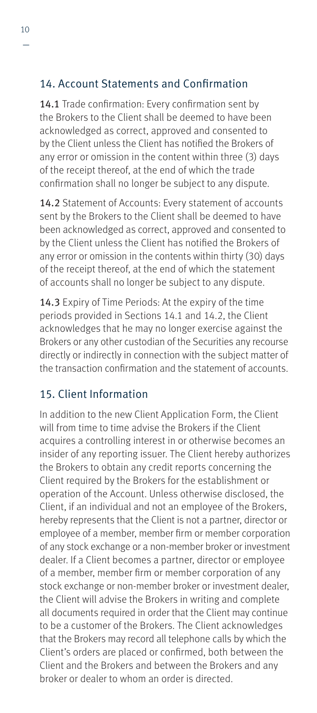#### 14. Account Statements and Confirmation

14.1 Trade confirmation: Every confirmation sent by the Brokers to the Client shall be deemed to have been acknowledged as correct, approved and consented to by the Client unless the Client has notified the Brokers of any error or omission in the content within three (3) days of the receipt thereof, at the end of which the trade confirmation shall no longer be subject to any dispute.

14.2 Statement of Accounts: Every statement of accounts sent by the Brokers to the Client shall be deemed to have been acknowledged as correct, approved and consented to by the Client unless the Client has notified the Brokers of any error or omission in the contents within thirty (30) days of the receipt thereof, at the end of which the statement of accounts shall no longer be subject to any dispute.

14.3 Expiry of Time Periods: At the expiry of the time periods provided in Sections 14.1 and 14.2, the Client acknowledges that he may no longer exercise against the Brokers or any other custodian of the Securities any recourse directly or indirectly in connection with the subject matter of the transaction confirmation and the statement of accounts.

#### 15. Client Information

In addition to the new Client Application Form, the Client will from time to time advise the Brokers if the Client acquires a controlling interest in or otherwise becomes an insider of any reporting issuer. The Client hereby authorizes the Brokers to obtain any credit reports concerning the Client required by the Brokers for the establishment or operation of the Account. Unless otherwise disclosed, the Client, if an individual and not an employee of the Brokers, hereby represents that the Client is not a partner, director or employee of a member, member firm or member corporation of any stock exchange or a non-member broker or investment dealer. If a Client becomes a partner, director or employee of a member, member firm or member corporation of any stock exchange or non-member broker or investment dealer, the Client will advise the Brokers in writing and complete all documents required in order that the Client may continue to be a customer of the Brokers. The Client acknowledges that the Brokers may record all telephone calls by which the Client's orders are placed or confirmed, both between the Client and the Brokers and between the Brokers and any broker or dealer to whom an order is directed.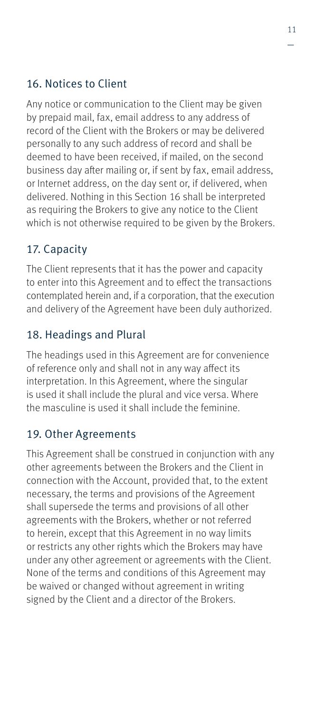#### 16. Notices to Client

Any notice or communication to the Client may be given by prepaid mail, fax, email address to any address of record of the Client with the Brokers or may be delivered personally to any such address of record and shall be deemed to have been received, if mailed, on the second business day after mailing or, if sent by fax, email address, or Internet address, on the day sent or, if delivered, when delivered. Nothing in this Section 16 shall be interpreted as requiring the Brokers to give any notice to the Client which is not otherwise required to be given by the Brokers.

#### 17. Capacity

The Client represents that it has the power and capacity to enter into this Agreement and to effect the transactions contemplated herein and, if a corporation, that the execution and delivery of the Agreement have been duly authorized.

#### 18. Headings and Plural

The headings used in this Agreement are for convenience of reference only and shall not in any way affect its interpretation. In this Agreement, where the singular is used it shall include the plural and vice versa. Where the masculine is used it shall include the feminine.

#### 19. Other Agreements

This Agreement shall be construed in conjunction with any other agreements between the Brokers and the Client in connection with the Account, provided that, to the extent necessary, the terms and provisions of the Agreement shall supersede the terms and provisions of all other agreements with the Brokers, whether or not referred to herein, except that this Agreement in no way limits or restricts any other rights which the Brokers may have under any other agreement or agreements with the Client. None of the terms and conditions of this Agreement may be waived or changed without agreement in writing signed by the Client and a director of the Brokers.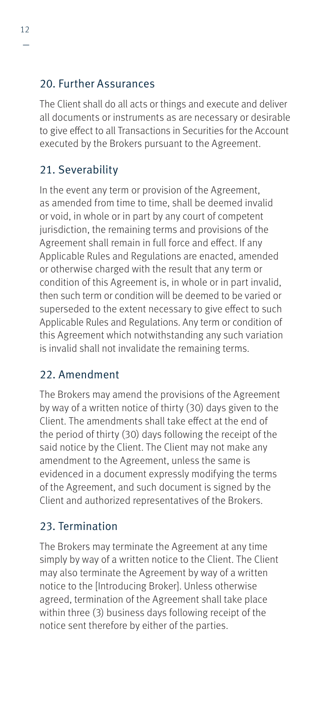#### 20. Further Assurances

The Client shall do all acts or things and execute and deliver all documents or instruments as are necessary or desirable to give effect to all Transactions in Securities for the Account executed by the Brokers pursuant to the Agreement.

#### 21. Severability

In the event any term or provision of the Agreement, as amended from time to time, shall be deemed invalid or void, in whole or in part by any court of competent jurisdiction, the remaining terms and provisions of the Agreement shall remain in full force and effect. If any Applicable Rules and Regulations are enacted, amended or otherwise charged with the result that any term or condition of this Agreement is, in whole or in part invalid, then such term or condition will be deemed to be varied or superseded to the extent necessary to give effect to such Applicable Rules and Regulations. Any term or condition of this Agreement which notwithstanding any such variation is invalid shall not invalidate the remaining terms.

#### 22. Amendment

The Brokers may amend the provisions of the Agreement by way of a written notice of thirty (30) days given to the Client. The amendments shall take effect at the end of the period of thirty (30) days following the receipt of the said notice by the Client. The Client may not make any amendment to the Agreement, unless the same is evidenced in a document expressly modifying the terms of the Agreement, and such document is signed by the Client and authorized representatives of the Brokers.

#### 23. Termination

The Brokers may terminate the Agreement at any time simply by way of a written notice to the Client. The Client may also terminate the Agreement by way of a written notice to the [Introducing Broker]. Unless otherwise agreed, termination of the Agreement shall take place within three (3) business days following receipt of the notice sent therefore by either of the parties.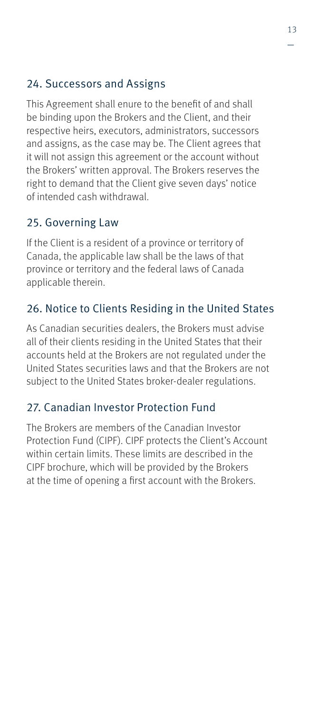#### 24. Successors and Assigns

This Agreement shall enure to the benefit of and shall be binding upon the Brokers and the Client, and their respective heirs, executors, administrators, successors and assigns, as the case may be. The Client agrees that it will not assign this agreement or the account without the Brokers' written approval. The Brokers reserves the right to demand that the Client give seven days' notice of intended cash withdrawal.

#### 25. Governing Law

If the Client is a resident of a province or territory of Canada, the applicable law shall be the laws of that province or territory and the federal laws of Canada applicable therein.

#### 26. Notice to Clients Residing in the United States

As Canadian securities dealers, the Brokers must advise all of their clients residing in the United States that their accounts held at the Brokers are not regulated under the United States securities laws and that the Brokers are not subject to the United States broker-dealer regulations.

#### 27. Canadian Investor Protection Fund

The Brokers are members of the Canadian Investor Protection Fund (CIPF). CIPF protects the Client's Account within certain limits. These limits are described in the CIPF brochure, which will be provided by the Brokers at the time of opening a first account with the Brokers.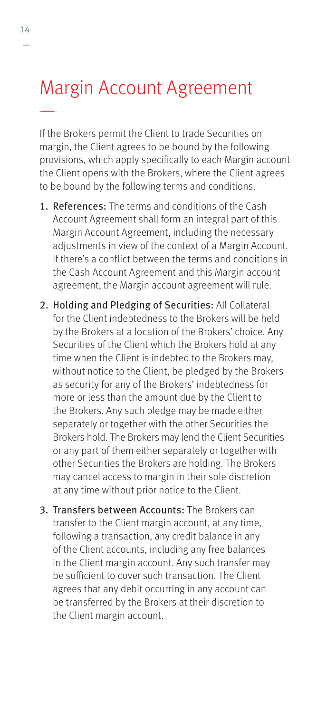### Margin Account Agreement

If the Brokers permit the Client to trade Securities on margin, the Client agrees to be bound by the following provisions, which apply specifically to each Margin account the Client opens with the Brokers, where the Client agrees to be bound by the following terms and conditions.

- 1. References: The terms and conditions of the Cash Account Agreement shall form an integral part of this Margin Account Agreement, including the necessary adjustments in view of the context of a Margin Account. If there's a conflict between the terms and conditions in the Cash Account Agreement and this Margin account agreement, the Margin account agreement will rule.
- 2. Holding and Pledging of Securities: All Collateral for the Client indebtedness to the Brokers will be held by the Brokers at a location of the Brokers' choice. Any Securities of the Client which the Brokers hold at any time when the Client is indebted to the Brokers may, without notice to the Client, be pledged by the Brokers as security for any of the Brokers' indebtedness for more or less than the amount due by the Client to the Brokers. Any such pledge may be made either separately or together with the other Securities the Brokers hold. The Brokers may lend the Client Securities or any part of them either separately or together with other Securities the Brokers are holding. The Brokers may cancel access to margin in their sole discretion at any time without prior notice to the Client.
- 3. Transfers between Accounts: The Brokers can transfer to the Client margin account, at any time, following a transaction, any credit balance in any of the Client accounts, including any free balances in the Client margin account. Any such transfer may be sufficient to cover such transaction. The Client agrees that any debit occurring in any account can be transferred by the Brokers at their discretion to the Client margin account.

—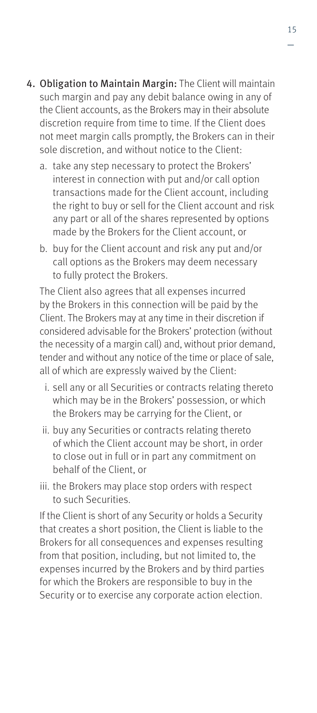- 4. Obligation to Maintain Margin: The Client will maintain such margin and pay any debit balance owing in any of the Client accounts, as the Brokers may in their absolute discretion require from time to time. If the Client does not meet margin calls promptly, the Brokers can in their sole discretion, and without notice to the Client:
	- a. take any step necessary to protect the Brokers' interest in connection with put and/or call option transactions made for the Client account, including the right to buy or sell for the Client account and risk any part or all of the shares represented by options made by the Brokers for the Client account, or
	- b. buy for the Client account and risk any put and/or call options as the Brokers may deem necessary to fully protect the Brokers.

 The Client also agrees that all expenses incurred by the Brokers in this connection will be paid by the Client. The Brokers may at any time in their discretion if considered advisable for the Brokers' protection (without the necessity of a margin call) and, without prior demand, tender and without any notice of the time or place of sale, all of which are expressly waived by the Client:

- i. sell any or all Securities or contracts relating thereto which may be in the Brokers' possession, or which the Brokers may be carrying for the Client, or
- ii. buy any Securities or contracts relating thereto of which the Client account may be short, in order to close out in full or in part any commitment on behalf of the Client, or
- iii. the Brokers may place stop orders with respect to such Securities.

 If the Client is short of any Security or holds a Security that creates a short position, the Client is liable to the Brokers for all consequences and expenses resulting from that position, including, but not limited to, the expenses incurred by the Brokers and by third parties for which the Brokers are responsible to buy in the Security or to exercise any corporate action election.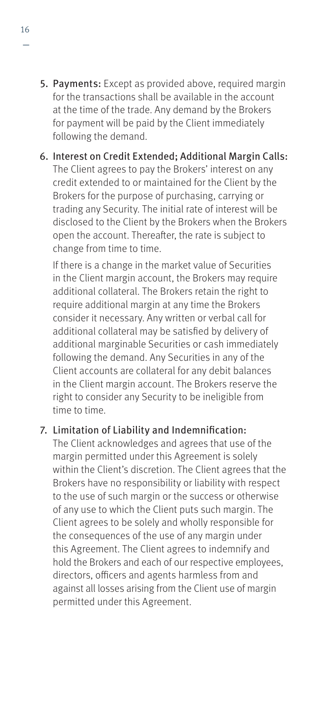5. Payments: Except as provided above, required margin for the transactions shall be available in the account at the time of the trade. Any demand by the Brokers for payment will be paid by the Client immediately following the demand.

#### 6. Interest on Credit Extended; Additional Margin Calls: The Client agrees to pay the Brokers' interest on any credit extended to or maintained for the Client by the Brokers for the purpose of purchasing, carrying or trading any Security. The initial rate of interest will be disclosed to the Client by the Brokers when the Brokers open the account. Thereafter, the rate is subject to change from time to time.

 If there is a change in the market value of Securities in the Client margin account, the Brokers may require additional collateral. The Brokers retain the right to require additional margin at any time the Brokers consider it necessary. Any written or verbal call for additional collateral may be satisfied by delivery of additional marginable Securities or cash immediately following the demand. Any Securities in any of the Client accounts are collateral for any debit balances in the Client margin account. The Brokers reserve the right to consider any Security to be ineligible from time to time.

#### 7. Limitation of Liability and Indemnification:

The Client acknowledges and agrees that use of the margin permitted under this Agreement is solely within the Client's discretion. The Client agrees that the Brokers have no responsibility or liability with respect to the use of such margin or the success or otherwise of any use to which the Client puts such margin. The Client agrees to be solely and wholly responsible for the consequences of the use of any margin under this Agreement. The Client agrees to indemnify and hold the Brokers and each of our respective employees, directors, officers and agents harmless from and against all losses arising from the Client use of margin permitted under this Agreement.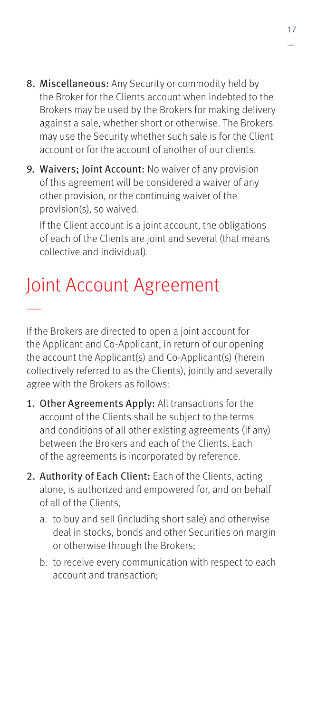- 8. Miscellaneous: Any Security or commodity held by the Broker for the Clients account when indebted to the Brokers may be used by the Brokers for making delivery against a sale, whether short or otherwise. The Brokers may use the Security whether such sale is for the Client account or for the account of another of our clients.
- 9. Waivers; Joint Account: No waiver of any provision of this agreement will be considered a waiver of any other provision, or the continuing waiver of the provision(s), so waived.

 If the Client account is a joint account, the obligations of each of the Clients are joint and several (that means collective and individual).

# Joint Account Agreement

—

If the Brokers are directed to open a joint account for the Applicant and Co-Applicant, in return of our opening the account the Applicant(s) and Co-Applicant(s) (herein collectively referred to as the Clients), jointly and severally agree with the Brokers as follows:

- 1. Other Agreements Apply: All transactions for the account of the Clients shall be subject to the terms and conditions of all other existing agreements (if any) between the Brokers and each of the Clients. Each of the agreements is incorporated by reference.
- 2. Authority of Each Client: Each of the Clients, acting alone, is authorized and empowered for, and on behalf of all of the Clients,
	- a. to buy and sell (including short sale) and otherwise deal in stocks, bonds and other Securities on margin or otherwise through the Brokers;
	- b. to receive every communication with respect to each account and transaction;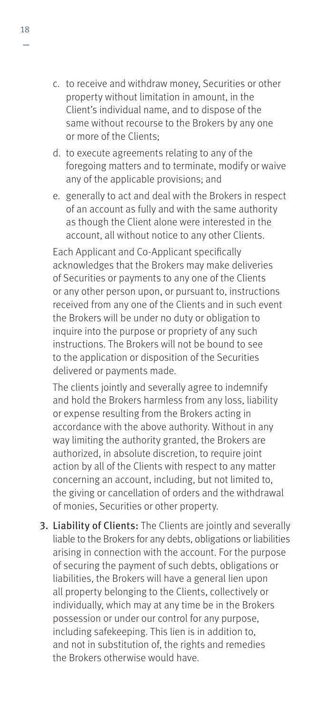- c. to receive and withdraw money, Securities or other property without limitation in amount, in the Client's individual name, and to dispose of the same without recourse to the Brokers by any one or more of the Clients;
- d. to execute agreements relating to any of the foregoing matters and to terminate, modify or waive any of the applicable provisions; and
- e. generally to act and deal with the Brokers in respect of an account as fully and with the same authority as though the Client alone were interested in the account, all without notice to any other Clients.

Each Applicant and Co-Applicant specifically acknowledges that the Brokers may make deliveries of Securities or payments to any one of the Clients or any other person upon, or pursuant to, instructions received from any one of the Clients and in such event the Brokers will be under no duty or obligation to inquire into the purpose or propriety of any such instructions. The Brokers will not be bound to see to the application or disposition of the Securities delivered or payments made.

 The clients jointly and severally agree to indemnify and hold the Brokers harmless from any loss, liability or expense resulting from the Brokers acting in accordance with the above authority. Without in any way limiting the authority granted, the Brokers are authorized, in absolute discretion, to require joint action by all of the Clients with respect to any matter concerning an account, including, but not limited to, the giving or cancellation of orders and the withdrawal of monies, Securities or other property.

3. Liability of Clients: The Clients are jointly and severally liable to the Brokers for any debts, obligations or liabilities arising in connection with the account. For the purpose of securing the payment of such debts, obligations or liabilities, the Brokers will have a general lien upon all property belonging to the Clients, collectively or individually, which may at any time be in the Brokers possession or under our control for any purpose, including safekeeping. This lien is in addition to, and not in substitution of, the rights and remedies the Brokers otherwise would have.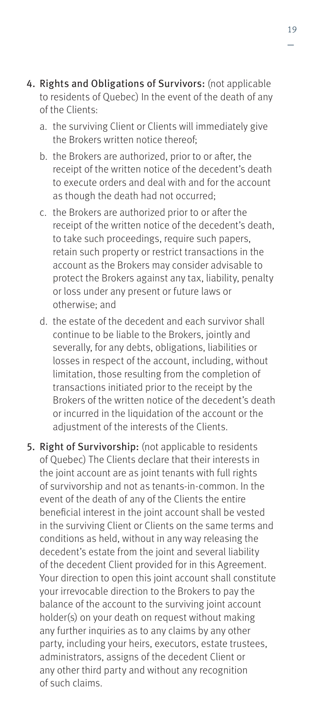- 4. Rights and Obligations of Survivors: (not applicable to residents of Quebec) In the event of the death of any of the Clients:
	- a. the surviving Client or Clients will immediately give the Brokers written notice thereof;
	- b. the Brokers are authorized, prior to or after, the receipt of the written notice of the decedent's death to execute orders and deal with and for the account as though the death had not occurred;
	- c. the Brokers are authorized prior to or after the receipt of the written notice of the decedent's death, to take such proceedings, require such papers, retain such property or restrict transactions in the account as the Brokers may consider advisable to protect the Brokers against any tax, liability, penalty or loss under any present or future laws or otherwise; and
	- d. the estate of the decedent and each survivor shall continue to be liable to the Brokers, jointly and severally, for any debts, obligations, liabilities or losses in respect of the account, including, without limitation, those resulting from the completion of transactions initiated prior to the receipt by the Brokers of the written notice of the decedent's death or incurred in the liquidation of the account or the adjustment of the interests of the Clients.
- 5. Right of Survivorship: (not applicable to residents of Quebec) The Clients declare that their interests in the joint account are as joint tenants with full rights of survivorship and not as tenants-in-common. In the event of the death of any of the Clients the entire beneficial interest in the joint account shall be vested in the surviving Client or Clients on the same terms and conditions as held, without in any way releasing the decedent's estate from the joint and several liability of the decedent Client provided for in this Agreement. Your direction to open this joint account shall constitute your irrevocable direction to the Brokers to pay the balance of the account to the surviving joint account holder(s) on your death on request without making any further inquiries as to any claims by any other party, including your heirs, executors, estate trustees, administrators, assigns of the decedent Client or any other third party and without any recognition of such claims.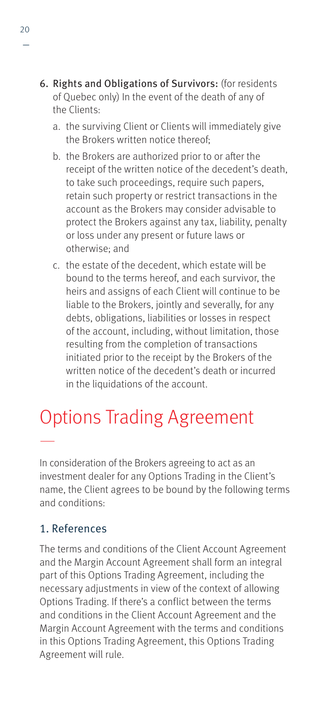- 6. Rights and Obligations of Survivors: (for residents of Quebec only) In the event of the death of any of the Clients:
	- a. the surviving Client or Clients will immediately give the Brokers written notice thereof;
	- b. the Brokers are authorized prior to or after the receipt of the written notice of the decedent's death, to take such proceedings, require such papers, retain such property or restrict transactions in the account as the Brokers may consider advisable to protect the Brokers against any tax, liability, penalty or loss under any present or future laws or otherwise; and
	- c. the estate of the decedent, which estate will be bound to the terms hereof, and each survivor, the heirs and assigns of each Client will continue to be liable to the Brokers, jointly and severally, for any debts, obligations, liabilities or losses in respect of the account, including, without limitation, those resulting from the completion of transactions initiated prior to the receipt by the Brokers of the written notice of the decedent's death or incurred in the liquidations of the account.

# Options Trading Agreement —

In consideration of the Brokers agreeing to act as an investment dealer for any Options Trading in the Client's name, the Client agrees to be bound by the following terms and conditions:

#### 1. References

The terms and conditions of the Client Account Agreement and the Margin Account Agreement shall form an integral part of this Options Trading Agreement, including the necessary adjustments in view of the context of allowing Options Trading. If there's a conflict between the terms and conditions in the Client Account Agreement and the Margin Account Agreement with the terms and conditions in this Options Trading Agreement, this Options Trading Agreement will rule.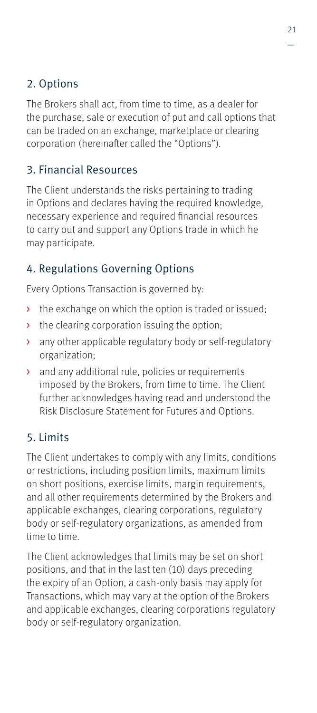#### 2. Options

The Brokers shall act, from time to time, as a dealer for the purchase, sale or execution of put and call options that can be traded on an exchange, marketplace or clearing corporation (hereinafter called the "Options").

#### 3. Financial Resources

The Client understands the risks pertaining to trading in Options and declares having the required knowledge, necessary experience and required financial resources to carry out and support any Options trade in which he may participate.

#### 4. Regulations Governing Options

Every Options Transaction is governed by:

- > the exchange on which the option is traded or issued;
- > the clearing corporation issuing the option;
- > any other applicable regulatory body or self-regulatory organization;
- > and any additional rule, policies or requirements imposed by the Brokers, from time to time. The Client further acknowledges having read and understood the Risk Disclosure Statement for Futures and Options.

#### 5. Limits

The Client undertakes to comply with any limits, conditions or restrictions, including position limits, maximum limits on short positions, exercise limits, margin requirements, and all other requirements determined by the Brokers and applicable exchanges, clearing corporations, regulatory body or self-regulatory organizations, as amended from time to time.

The Client acknowledges that limits may be set on short positions, and that in the last ten (10) days preceding the expiry of an Option, a cash-only basis may apply for Transactions, which may vary at the option of the Brokers and applicable exchanges, clearing corporations regulatory body or self-regulatory organization.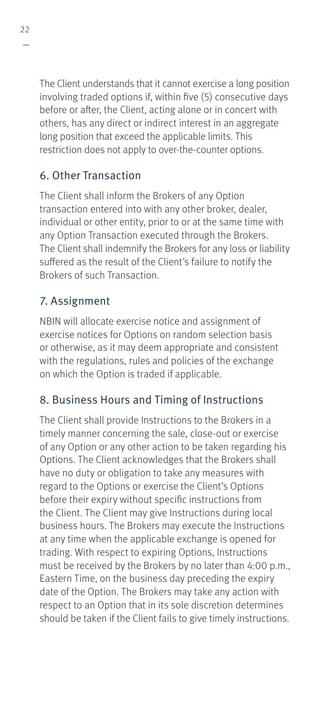The Client understands that it cannot exercise a long position involving traded options if, within five (5) consecutive days before or after, the Client, acting alone or in concert with others, has any direct or indirect interest in an aggregate long position that exceed the applicable limits. This restriction does not apply to over-the-counter options.

#### 6. Other Transaction

The Client shall inform the Brokers of any Option transaction entered into with any other broker, dealer, individual or other entity, prior to or at the same time with any Option Transaction executed through the Brokers. The Client shall indemnify the Brokers for any loss or liability suffered as the result of the Client's failure to notify the Brokers of such Transaction.

#### 7. Assignment

NBIN will allocate exercise notice and assignment of exercise notices for Options on random selection basis or otherwise, as it may deem appropriate and consistent with the regulations, rules and policies of the exchange on which the Option is traded if applicable.

#### 8. Business Hours and Timing of Instructions

The Client shall provide Instructions to the Brokers in a timely manner concerning the sale, close-out or exercise of any Option or any other action to be taken regarding his Options. The Client acknowledges that the Brokers shall have no duty or obligation to take any measures with regard to the Options or exercise the Client's Options before their expiry without specific instructions from the Client. The Client may give Instructions during local business hours. The Brokers may execute the Instructions at any time when the applicable exchange is opened for trading. With respect to expiring Options, Instructions must be received by the Brokers by no later than 4:00 p.m., Eastern Time, on the business day preceding the expiry date of the Option. The Brokers may take any action with respect to an Option that in its sole discretion determines should be taken if the Client fails to give timely instructions.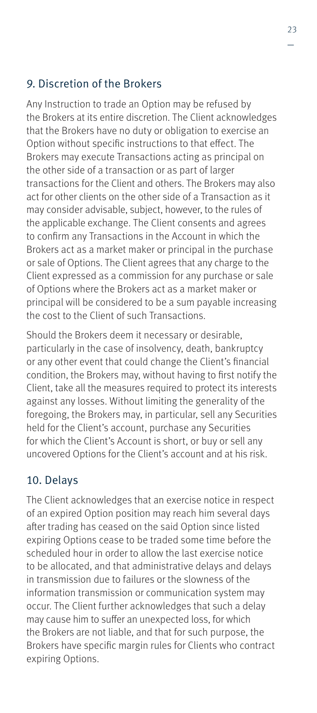#### 9. Discretion of the Brokers

Any Instruction to trade an Option may be refused by the Brokers at its entire discretion. The Client acknowledges that the Brokers have no duty or obligation to exercise an Option without specific instructions to that effect. The Brokers may execute Transactions acting as principal on the other side of a transaction or as part of larger transactions for the Client and others. The Brokers may also act for other clients on the other side of a Transaction as it may consider advisable, subject, however, to the rules of the applicable exchange. The Client consents and agrees to confirm any Transactions in the Account in which the Brokers act as a market maker or principal in the purchase or sale of Options. The Client agrees that any charge to the Client expressed as a commission for any purchase or sale of Options where the Brokers act as a market maker or principal will be considered to be a sum payable increasing the cost to the Client of such Transactions.

Should the Brokers deem it necessary or desirable, particularly in the case of insolvency, death, bankruptcy or any other event that could change the Client's financial condition, the Brokers may, without having to first notify the Client, take all the measures required to protect its interests against any losses. Without limiting the generality of the foregoing, the Brokers may, in particular, sell any Securities held for the Client's account, purchase any Securities for which the Client's Account is short, or buy or sell any uncovered Options for the Client's account and at his risk.

#### 10. Delays

The Client acknowledges that an exercise notice in respect of an expired Option position may reach him several days after trading has ceased on the said Option since listed expiring Options cease to be traded some time before the scheduled hour in order to allow the last exercise notice to be allocated, and that administrative delays and delays in transmission due to failures or the slowness of the information transmission or communication system may occur. The Client further acknowledges that such a delay may cause him to suffer an unexpected loss, for which the Brokers are not liable, and that for such purpose, the Brokers have specific margin rules for Clients who contract expiring Options.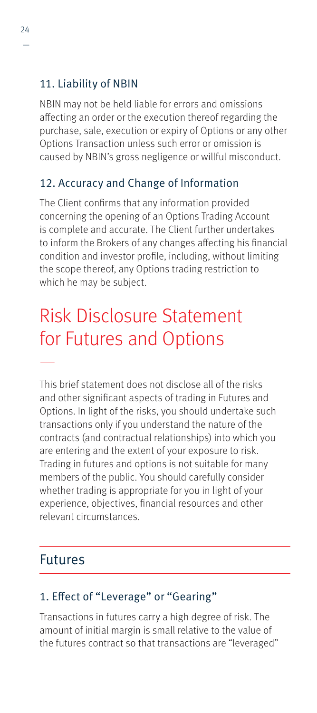#### 11. Liability of NBIN

NBIN may not be held liable for errors and omissions affecting an order or the execution thereof regarding the purchase, sale, execution or expiry of Options or any other Options Transaction unless such error or omission is caused by NBIN's gross negligence or willful misconduct.

#### 12. Accuracy and Change of Information

The Client confirms that any information provided concerning the opening of an Options Trading Account is complete and accurate. The Client further undertakes to inform the Brokers of any changes affecting his financial condition and investor profile, including, without limiting the scope thereof, any Options trading restriction to which he may be subject.

# Risk Disclosure Statement for Futures and Options

This brief statement does not disclose all of the risks and other significant aspects of trading in Futures and Options. In light of the risks, you should undertake such transactions only if you understand the nature of the contracts (and contractual relationships) into which you are entering and the extent of your exposure to risk. Trading in futures and options is not suitable for many members of the public. You should carefully consider whether trading is appropriate for you in light of your experience, objectives, financial resources and other relevant circumstances.

#### Futures

—

#### 1. Effect of "Leverage" or "Gearing"

Transactions in futures carry a high degree of risk. The amount of initial margin is small relative to the value of the futures contract so that transactions are "leveraged"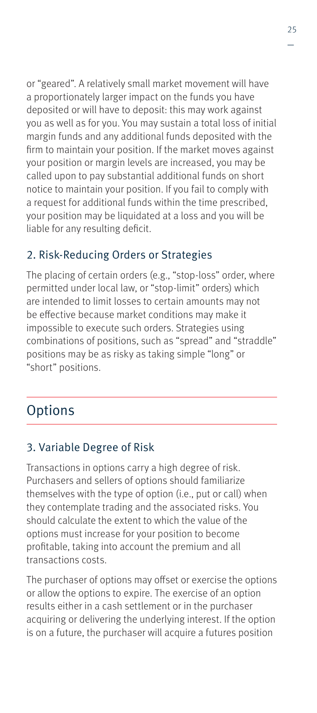or "geared". A relatively small market movement will have a proportionately larger impact on the funds you have deposited or will have to deposit: this may work against you as well as for you. You may sustain a total loss of initial margin funds and any additional funds deposited with the firm to maintain your position. If the market moves against your position or margin levels are increased, you may be called upon to pay substantial additional funds on short notice to maintain your position. If you fail to comply with a request for additional funds within the time prescribed, your position may be liquidated at a loss and you will be liable for any resulting deficit.

#### 2. Risk-Reducing Orders or Strategies

The placing of certain orders (e.g., "stop-loss" order, where permitted under local law, or "stop-limit" orders) which are intended to limit losses to certain amounts may not be effective because market conditions may make it impossible to execute such orders. Strategies using combinations of positions, such as "spread" and "straddle" positions may be as risky as taking simple "long" or "short" positions.

#### **Options**

#### 3. Variable Degree of Risk

Transactions in options carry a high degree of risk. Purchasers and sellers of options should familiarize themselves with the type of option (i.e., put or call) when they contemplate trading and the associated risks. You should calculate the extent to which the value of the options must increase for your position to become profitable, taking into account the premium and all transactions costs.

The purchaser of options may offset or exercise the options or allow the options to expire. The exercise of an option results either in a cash settlement or in the purchaser acquiring or delivering the underlying interest. If the option is on a future, the purchaser will acquire a futures position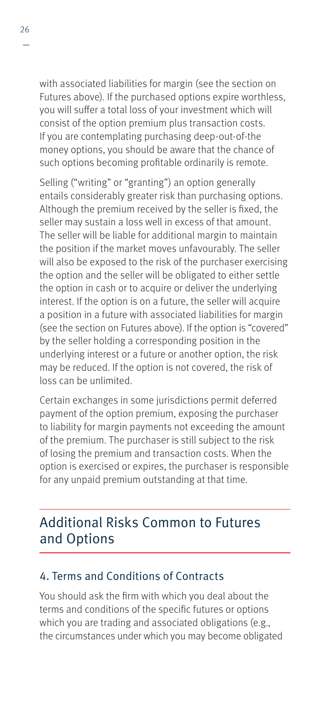with associated liabilities for margin (see the section on Futures above). If the purchased options expire worthless, you will suffer a total loss of your investment which will consist of the option premium plus transaction costs. If you are contemplating purchasing deep-out-of-the money options, you should be aware that the chance of such options becoming profitable ordinarily is remote.

Selling ("writing" or "granting") an option generally entails considerably greater risk than purchasing options. Although the premium received by the seller is fixed, the seller may sustain a loss well in excess of that amount. The seller will be liable for additional margin to maintain the position if the market moves unfavourably. The seller will also be exposed to the risk of the purchaser exercising the option and the seller will be obligated to either settle the option in cash or to acquire or deliver the underlying interest. If the option is on a future, the seller will acquire a position in a future with associated liabilities for margin (see the section on Futures above). If the option is "covered" by the seller holding a corresponding position in the underlying interest or a future or another option, the risk may be reduced. If the option is not covered, the risk of loss can be unlimited.

Certain exchanges in some jurisdictions permit deferred payment of the option premium, exposing the purchaser to liability for margin payments not exceeding the amount of the premium. The purchaser is still subject to the risk of losing the premium and transaction costs. When the option is exercised or expires, the purchaser is responsible for any unpaid premium outstanding at that time.

#### Additional Risks Common to Futures and Options

#### 4. Terms and Conditions of Contracts

You should ask the firm with which you deal about the terms and conditions of the specific futures or options which you are trading and associated obligations (e.g., the circumstances under which you may become obligated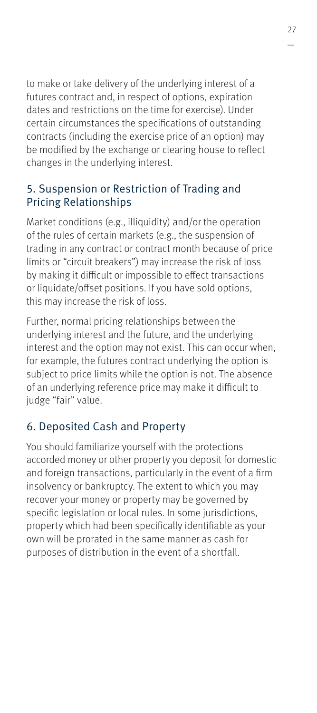to make or take delivery of the underlying interest of a futures contract and, in respect of options, expiration dates and restrictions on the time for exercise). Under certain circumstances the specifications of outstanding contracts (including the exercise price of an option) may be modified by the exchange or clearing house to reflect changes in the underlying interest.

#### 5. Suspension or Restriction of Trading and Pricing Relationships

Market conditions (e.g., illiquidity) and/or the operation of the rules of certain markets (e.g., the suspension of trading in any contract or contract month because of price limits or "circuit breakers") may increase the risk of loss by making it difficult or impossible to effect transactions or liquidate/offset positions. If you have sold options, this may increase the risk of loss.

Further, normal pricing relationships between the underlying interest and the future, and the underlying interest and the option may not exist. This can occur when, for example, the futures contract underlying the option is subject to price limits while the option is not. The absence of an underlying reference price may make it difficult to judge "fair" value.

#### 6. Deposited Cash and Property

You should familiarize yourself with the protections accorded money or other property you deposit for domestic and foreign transactions, particularly in the event of a firm insolvency or bankruptcy. The extent to which you may recover your money or property may be governed by specific legislation or local rules. In some jurisdictions, property which had been specifically identifiable as your own will be prorated in the same manner as cash for purposes of distribution in the event of a shortfall.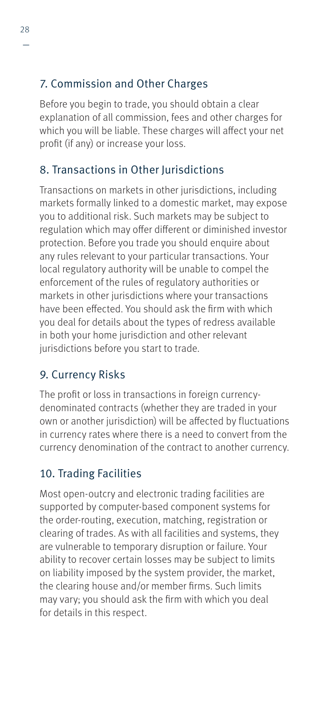#### 7. Commission and Other Charges

Before you begin to trade, you should obtain a clear explanation of all commission, fees and other charges for which you will be liable. These charges will affect your net profit (if any) or increase your loss.

#### 8. Transactions in Other Jurisdictions

Transactions on markets in other jurisdictions, including markets formally linked to a domestic market, may expose you to additional risk. Such markets may be subject to regulation which may offer different or diminished investor protection. Before you trade you should enquire about any rules relevant to your particular transactions. Your local regulatory authority will be unable to compel the enforcement of the rules of regulatory authorities or markets in other jurisdictions where your transactions have been effected. You should ask the firm with which you deal for details about the types of redress available in both your home jurisdiction and other relevant jurisdictions before you start to trade.

#### 9. Currency Risks

The profit or loss in transactions in foreign currencydenominated contracts (whether they are traded in your own or another jurisdiction) will be affected by fluctuations in currency rates where there is a need to convert from the currency denomination of the contract to another currency.

#### 10. Trading Facilities

Most open-outcry and electronic trading facilities are supported by computer-based component systems for the order-routing, execution, matching, registration or clearing of trades. As with all facilities and systems, they are vulnerable to temporary disruption or failure. Your ability to recover certain losses may be subject to limits on liability imposed by the system provider, the market, the clearing house and/or member firms. Such limits may vary; you should ask the firm with which you deal for details in this respect.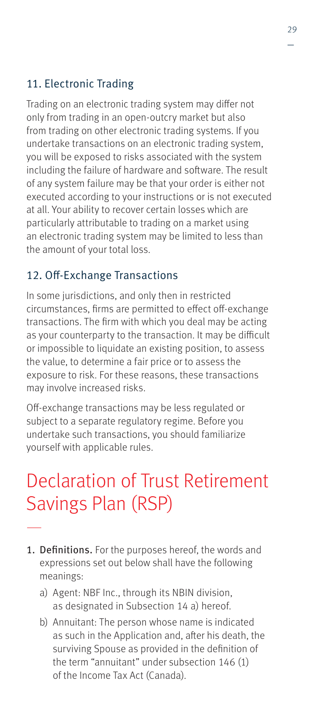#### 11. Electronic Trading

Trading on an electronic trading system may differ not only from trading in an open-outcry market but also from trading on other electronic trading systems. If you undertake transactions on an electronic trading system, you will be exposed to risks associated with the system including the failure of hardware and software. The result of any system failure may be that your order is either not executed according to your instructions or is not executed at all. Your ability to recover certain losses which are particularly attributable to trading on a market using an electronic trading system may be limited to less than the amount of your total loss.

#### 12. Off-Exchange Transactions

In some jurisdictions, and only then in restricted circumstances, firms are permitted to effect off-exchange transactions. The firm with which you deal may be acting as your counterparty to the transaction. It may be difficult or impossible to liquidate an existing position, to assess the value, to determine a fair price or to assess the exposure to risk. For these reasons, these transactions may involve increased risks.

Off -exchange transactions may be less regulated or subject to a separate regulatory regime. Before you undertake such transactions, you should familiarize yourself with applicable rules.

# Declaration of Trust Retirement Savings Plan (RSP)

- 1. Definitions. For the purposes hereof, the words and expressions set out below shall have the following meanings:
	- a) Agent: NBF Inc., through its NBIN division, as designated in Subsection 14 a) hereof.

—

 b) Annuitant: The person whose name is indicated as such in the Application and, after his death, the surviving Spouse as provided in the definition of the term "annuitant" under subsection 146 (1) of the Income Tax Act (Canada).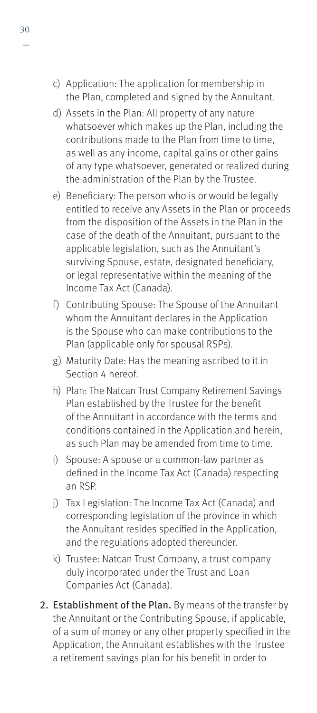- c) Application: The application for membership in the Plan, completed and signed by the Annuitant.
- d) Assets in the Plan: All property of any nature whatsoever which makes up the Plan, including the contributions made to the Plan from time to time, as well as any income, capital gains or other gains of any type whatsoever, generated or realized during the administration of the Plan by the Trustee.
- e) Beneficiary: The person who is or would be legally entitled to receive any Assets in the Plan or proceeds from the disposition of the Assets in the Plan in the case of the death of the Annuitant, pursuant to the applicable legislation, such as the Annuitant's surviving Spouse, estate, designated beneficiary, or legal representative within the meaning of the Income Tax Act (Canada).
- f) Contributing Spouse: The Spouse of the Annuitant whom the Annuitant declares in the Application is the Spouse who can make contributions to the Plan (applicable only for spousal RSPs).
- g) Maturity Date: Has the meaning ascribed to it in Section 4 hereof.
- h) Plan: The Natcan Trust Company Retirement Savings Plan established by the Trustee for the benefit of the Annuitant in accordance with the terms and conditions contained in the Application and herein, as such Plan may be amended from time to time.
- i) Spouse: A spouse or a common-law partner as defined in the Income Tax Act (Canada) respecting an RSP.
- j) Tax Legislation: The Income Tax Act (Canada) and corresponding legislation of the province in which the Annuitant resides specified in the Application, and the regulations adopted thereunder.
- k) Trustee: Natcan Trust Company, a trust company duly incorporated under the Trust and Loan Companies Act (Canada).
- 2. Establishment of the Plan. By means of the transfer by the Annuitant or the Contributing Spouse, if applicable, of a sum of money or any other property specified in the Application, the Annuitant establishes with the Trustee a retirement savings plan for his benefit in order to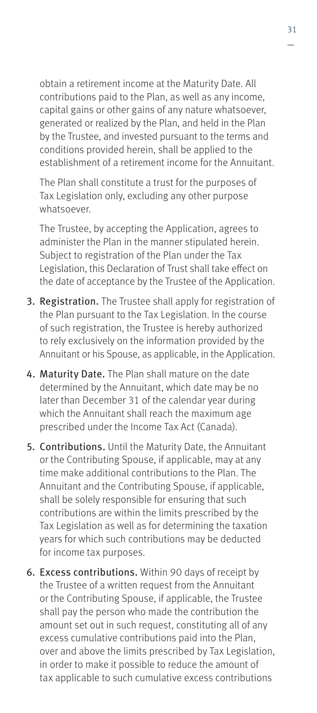obtain a retirement income at the Maturity Date. All contributions paid to the Plan, as well as any income, capital gains or other gains of any nature whatsoever, generated or realized by the Plan, and held in the Plan by the Trustee, and invested pursuant to the terms and conditions provided herein, shall be applied to the establishment of a retirement income for the Annuitant.

 The Plan shall constitute a trust for the purposes of Tax Legislation only, excluding any other purpose whatsoever.

 The Trustee, by accepting the Application, agrees to administer the Plan in the manner stipulated herein. Subject to registration of the Plan under the Tax Legislation, this Declaration of Trust shall take effect on the date of acceptance by the Trustee of the Application.

- 3. Registration. The Trustee shall apply for registration of the Plan pursuant to the Tax Legislation. In the course of such registration, the Trustee is hereby authorized to rely exclusively on the information provided by the Annuitant or his Spouse, as applicable, in the Application.
- 4. Maturity Date. The Plan shall mature on the date determined by the Annuitant, which date may be no later than December 31 of the calendar year during which the Annuitant shall reach the maximum age prescribed under the Income Tax Act (Canada).
- 5. Contributions. Until the Maturity Date, the Annuitant or the Contributing Spouse, if applicable, may at any time make additional contributions to the Plan. The Annuitant and the Contributing Spouse, if applicable, shall be solely responsible for ensuring that such contributions are within the limits prescribed by the Tax Legislation as well as for determining the taxation years for which such contributions may be deducted for income tax purposes.
- 6. Excess contributions. Within 90 days of receipt by the Trustee of a written request from the Annuitant or the Contributing Spouse, if applicable, the Trustee shall pay the person who made the contribution the amount set out in such request, constituting all of any excess cumulative contributions paid into the Plan, over and above the limits prescribed by Tax Legislation, in order to make it possible to reduce the amount of tax applicable to such cumulative excess contributions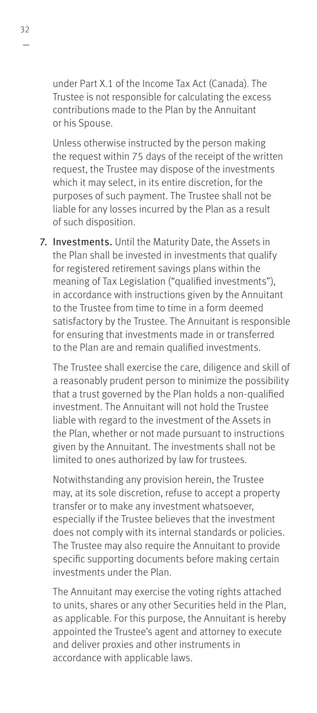under Part X.1 of the Income Tax Act (Canada). The Trustee is not responsible for calculating the excess contributions made to the Plan by the Annuitant or his Spouse.

 Unless otherwise instructed by the person making the request within 75 days of the receipt of the written request, the Trustee may dispose of the investments which it may select, in its entire discretion, for the purposes of such payment. The Trustee shall not be liable for any losses incurred by the Plan as a result of such disposition.

7. Investments. Until the Maturity Date, the Assets in the Plan shall be invested in investments that qualify for registered retirement savings plans within the meaning of Tax Legislation ("qualified investments"), in accordance with instructions given by the Annuitant to the Trustee from time to time in a form deemed satisfactory by the Trustee. The Annuitant is responsible for ensuring that investments made in or transferred to the Plan are and remain qualified investments.

 The Trustee shall exercise the care, diligence and skill of a reasonably prudent person to minimize the possibility that a trust governed by the Plan holds a non-qualified investment. The Annuitant will not hold the Trustee liable with regard to the investment of the Assets in the Plan, whether or not made pursuant to instructions given by the Annuitant. The investments shall not be limited to ones authorized by law for trustees.

 Notwithstanding any provision herein, the Trustee may, at its sole discretion, refuse to accept a property transfer or to make any investment whatsoever, especially if the Trustee believes that the investment does not comply with its internal standards or policies. The Trustee may also require the Annuitant to provide specific supporting documents before making certain investments under the Plan.

 The Annuitant may exercise the voting rights attached to units, shares or any other Securities held in the Plan, as applicable. For this purpose, the Annuitant is hereby appointed the Trustee's agent and attorney to execute and deliver proxies and other instruments in accordance with applicable laws.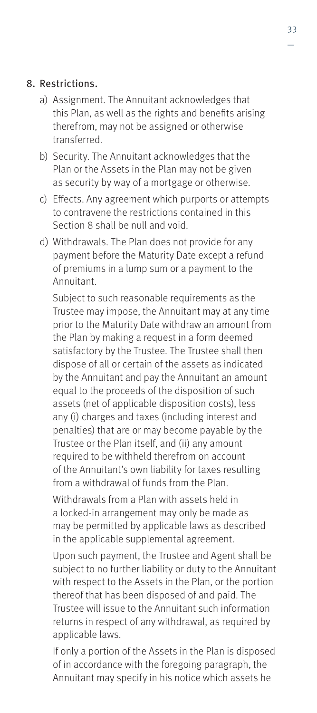#### 8. Restrictions.

- a) Assignment. The Annuitant acknowledges that this Plan, as well as the rights and benefits arising therefrom, may not be assigned or otherwise transferred.
- b) Security. The Annuitant acknowledges that the Plan or the Assets in the Plan may not be given as security by way of a mortgage or otherwise.
- c) Effects. Any agreement which purports or attempts to contravene the restrictions contained in this Section 8 shall be null and void.
- d) Withdrawals. The Plan does not provide for any payment before the Maturity Date except a refund of premiums in a lump sum or a payment to the Annuitant.

 Subject to such reasonable requirements as the Trustee may impose, the Annuitant may at any time prior to the Maturity Date withdraw an amount from the Plan by making a request in a form deemed satisfactory by the Trustee. The Trustee shall then dispose of all or certain of the assets as indicated by the Annuitant and pay the Annuitant an amount equal to the proceeds of the disposition of such assets (net of applicable disposition costs), less any (i) charges and taxes (including interest and penalties) that are or may become payable by the Trustee or the Plan itself, and (ii) any amount required to be withheld therefrom on account of the Annuitant's own liability for taxes resulting from a withdrawal of funds from the Plan.

 Withdrawals from a Plan with assets held in a locked-in arrangement may only be made as may be permitted by applicable laws as described in the applicable supplemental agreement.

 Upon such payment, the Trustee and Agent shall be subject to no further liability or duty to the Annuitant with respect to the Assets in the Plan, or the portion thereof that has been disposed of and paid. The Trustee will issue to the Annuitant such information returns in respect of any withdrawal, as required by applicable laws.

 If only a portion of the Assets in the Plan is disposed of in accordance with the foregoing paragraph, the Annuitant may specify in his notice which assets he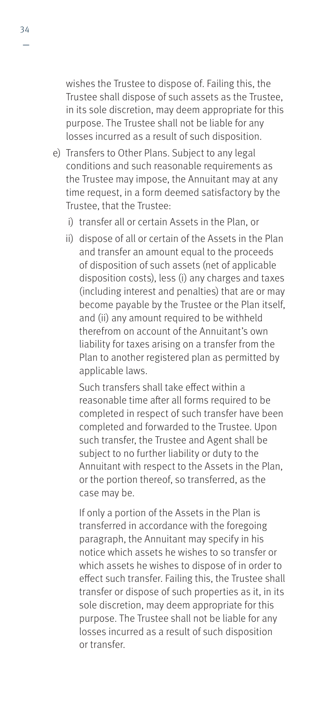wishes the Trustee to dispose of. Failing this, the Trustee shall dispose of such assets as the Trustee, in its sole discretion, may deem appropriate for this purpose. The Trustee shall not be liable for any losses incurred as a result of such disposition.

- e) Transfers to Other Plans. Subject to any legal conditions and such reasonable requirements as the Trustee may impose, the Annuitant may at any time request, in a form deemed satisfactory by the Trustee, that the Trustee:
	- i) transfer all or certain Assets in the Plan, or
	- ii) dispose of all or certain of the Assets in the Plan and transfer an amount equal to the proceeds of disposition of such assets (net of applicable disposition costs), less (i) any charges and taxes (including interest and penalties) that are or may become payable by the Trustee or the Plan itself, and (ii) any amount required to be withheld therefrom on account of the Annuitant's own liability for taxes arising on a transfer from the Plan to another registered plan as permitted by applicable laws.

Such transfers shall take effect within a reasonable time after all forms required to be completed in respect of such transfer have been completed and forwarded to the Trustee. Upon such transfer, the Trustee and Agent shall be subject to no further liability or duty to the Annuitant with respect to the Assets in the Plan, or the portion thereof, so transferred, as the case may be.

 If only a portion of the Assets in the Plan is transferred in accordance with the foregoing paragraph, the Annuitant may specify in his notice which assets he wishes to so transfer or which assets he wishes to dispose of in order to effect such transfer. Failing this, the Trustee shall transfer or dispose of such properties as it, in its sole discretion, may deem appropriate for this purpose. The Trustee shall not be liable for any losses incurred as a result of such disposition or transfer.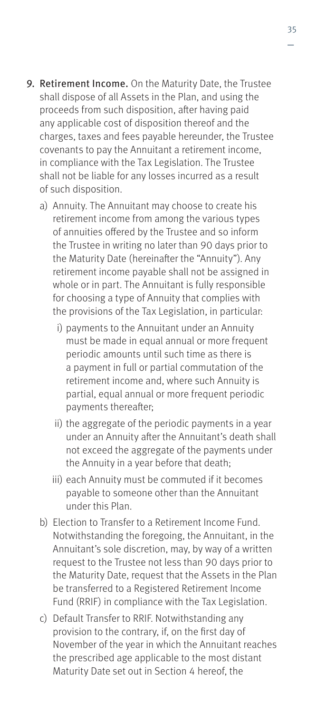- 9. Retirement Income. On the Maturity Date, the Trustee shall dispose of all Assets in the Plan, and using the proceeds from such disposition, after having paid any applicable cost of disposition thereof and the charges, taxes and fees payable hereunder, the Trustee covenants to pay the Annuitant a retirement income, in compliance with the Tax Legislation. The Trustee shall not be liable for any losses incurred as a result of such disposition.
	- a) Annuity. The Annuitant may choose to create his retirement income from among the various types of annuities offered by the Trustee and so inform the Trustee in writing no later than 90 days prior to the Maturity Date (hereinafter the "Annuity"). Any retirement income payable shall not be assigned in whole or in part. The Annuitant is fully responsible for choosing a type of Annuity that complies with the provisions of the Tax Legislation, in particular:
		- i) payments to the Annuitant under an Annuity must be made in equal annual or more frequent periodic amounts until such time as there is a payment in full or partial commutation of the retirement income and, where such Annuity is partial, equal annual or more frequent periodic payments thereafter;
		- ii) the aggregate of the periodic payments in a year under an Annuity after the Annuitant's death shall not exceed the aggregate of the payments under the Annuity in a year before that death;
		- iii) each Annuity must be commuted if it becomes payable to someone other than the Annuitant under this Plan.
	- b) Election to Transfer to a Retirement Income Fund. Notwithstanding the foregoing, the Annuitant, in the Annuitant's sole discretion, may, by way of a written request to the Trustee not less than 90 days prior to the Maturity Date, request that the Assets in the Plan be transferred to a Registered Retirement Income Fund (RRIF) in compliance with the Tax Legislation.
	- c) Default Transfer to RRIF. Notwithstanding any provision to the contrary, if, on the first day of November of the year in which the Annuitant reaches the prescribed age applicable to the most distant Maturity Date set out in Section 4 hereof, the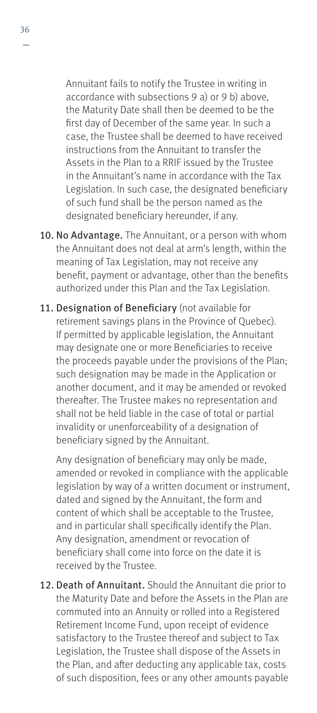Annuitant fails to notify the Trustee in writing in accordance with subsections 9 a) or 9 b) above, the Maturity Date shall then be deemed to be the first day of December of the same year. In such a case, the Trustee shall be deemed to have received instructions from the Annuitant to transfer the Assets in the Plan to a RRIF issued by the Trustee in the Annuitant's name in accordance with the Tax Legislation. In such case, the designated beneficiary of such fund shall be the person named as the designated beneficiary hereunder, if any.

- 10. No Advantage. The Annuitant, or a person with whom the Annuitant does not deal at arm's length, within the meaning of Tax Legislation, may not receive any benefit, payment or advantage, other than the benefits authorized under this Plan and the Tax Legislation.
- 11. Designation of Beneficiary (not available for retirement savings plans in the Province of Quebec). If permitted by applicable legislation, the Annuitant may designate one or more Beneficiaries to receive the proceeds payable under the provisions of the Plan; such designation may be made in the Application or another document, and it may be amended or revoked thereafter. The Trustee makes no representation and shall not be held liable in the case of total or partial invalidity or unenforceability of a designation of beneficiary signed by the Annuitant.

Any designation of beneficiary may only be made, amended or revoked in compliance with the applicable legislation by way of a written document or instrument, dated and signed by the Annuitant, the form and content of which shall be acceptable to the Trustee, and in particular shall specifically identify the Plan. Any designation, amendment or revocation of beneficiary shall come into force on the date it is received by the Trustee.

12. Death of Annuitant. Should the Annuitant die prior to the Maturity Date and before the Assets in the Plan are commuted into an Annuity or rolled into a Registered Retirement Income Fund, upon receipt of evidence satisfactory to the Trustee thereof and subject to Tax Legislation, the Trustee shall dispose of the Assets in the Plan, and after deducting any applicable tax, costs of such disposition, fees or any other amounts payable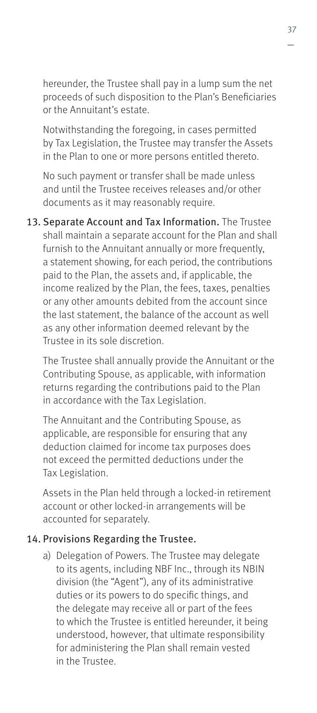hereunder, the Trustee shall pay in a lump sum the net proceeds of such disposition to the Plan's Beneficiaries or the Annuitant's estate.

 Notwithstanding the foregoing, in cases permitted by Tax Legislation, the Trustee may transfer the Assets in the Plan to one or more persons entitled thereto.

 No such payment or transfer shall be made unless and until the Trustee receives releases and/or other documents as it may reasonably require.

13. Separate Account and Tax Information. The Trustee shall maintain a separate account for the Plan and shall furnish to the Annuitant annually or more frequently, a statement showing, for each period, the contributions paid to the Plan, the assets and, if applicable, the income realized by the Plan, the fees, taxes, penalties or any other amounts debited from the account since the last statement, the balance of the account as well as any other information deemed relevant by the Trustee in its sole discretion.

 The Trustee shall annually provide the Annuitant or the Contributing Spouse, as applicable, with information returns regarding the contributions paid to the Plan in accordance with the Tax Legislation.

 The Annuitant and the Contributing Spouse, as applicable, are responsible for ensuring that any deduction claimed for income tax purposes does not exceed the permitted deductions under the Tax Legislation.

 Assets in the Plan held through a locked-in retirement account or other locked-in arrangements will be accounted for separately.

#### 14. Provisions Regarding the Trustee.

 a) Delegation of Powers. The Trustee may delegate to its agents, including NBF Inc., through its NBIN division (the "Agent"), any of its administrative duties or its powers to do specific things, and the delegate may receive all or part of the fees to which the Trustee is entitled hereunder, it being understood, however, that ultimate responsibility for administering the Plan shall remain vested in the Trustee.

37 —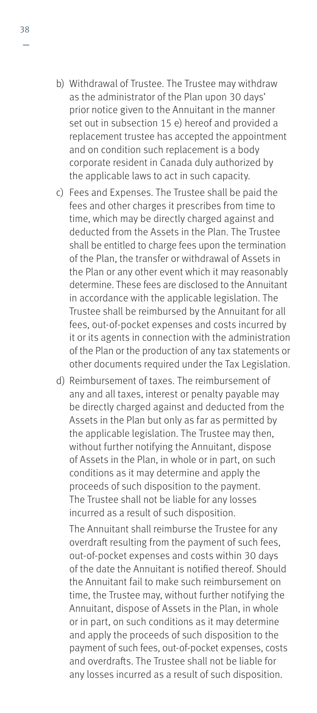- b) Withdrawal of Trustee. The Trustee may withdraw as the administrator of the Plan upon 30 days' prior notice given to the Annuitant in the manner set out in subsection 15 e) hereof and provided a replacement trustee has accepted the appointment and on condition such replacement is a body corporate resident in Canada duly authorized by the applicable laws to act in such capacity.
- c) Fees and Expenses. The Trustee shall be paid the fees and other charges it prescribes from time to time, which may be directly charged against and deducted from the Assets in the Plan. The Trustee shall be entitled to charge fees upon the termination of the Plan, the transfer or withdrawal of Assets in the Plan or any other event which it may reasonably determine. These fees are disclosed to the Annuitant in accordance with the applicable legislation. The Trustee shall be reimbursed by the Annuitant for all fees, out-of-pocket expenses and costs incurred by it or its agents in connection with the administration of the Plan or the production of any tax statements or other documents required under the Tax Legislation.
- d) Reimbursement of taxes. The reimbursement of any and all taxes, interest or penalty payable may be directly charged against and deducted from the Assets in the Plan but only as far as permitted by the applicable legislation. The Trustee may then, without further notifying the Annuitant, dispose of Assets in the Plan, in whole or in part, on such conditions as it may determine and apply the proceeds of such disposition to the payment. The Trustee shall not be liable for any losses incurred as a result of such disposition.

 The Annuitant shall reimburse the Trustee for any overdraft resulting from the payment of such fees, out-of-pocket expenses and costs within 30 days of the date the Annuitant is notified thereof. Should the Annuitant fail to make such reimbursement on time, the Trustee may, without further notifying the Annuitant, dispose of Assets in the Plan, in whole or in part, on such conditions as it may determine and apply the proceeds of such disposition to the payment of such fees, out-of-pocket expenses, costs and overdrafts. The Trustee shall not be liable for any losses incurred as a result of such disposition.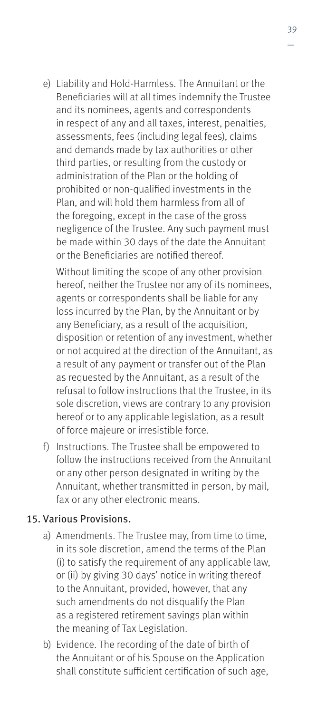e) Liability and Hold-Harmless. The Annuitant or the Beneficiaries will at all times indemnify the Trustee and its nominees, agents and correspondents in respect of any and all taxes, interest, penalties, assessments, fees (including legal fees), claims and demands made by tax authorities or other third parties, or resulting from the custody or administration of the Plan or the holding of prohibited or non-qualified investments in the Plan, and will hold them harmless from all of the foregoing, except in the case of the gross negligence of the Trustee. Any such payment must be made within 30 days of the date the Annuitant or the Beneficiaries are notified thereof.

 Without limiting the scope of any other provision hereof, neither the Trustee nor any of its nominees, agents or correspondents shall be liable for any loss incurred by the Plan, by the Annuitant or by any Beneficiary, as a result of the acquisition, disposition or retention of any investment, whether or not acquired at the direction of the Annuitant, as a result of any payment or transfer out of the Plan as requested by the Annuitant, as a result of the refusal to follow instructions that the Trustee, in its sole discretion, views are contrary to any provision hereof or to any applicable legislation, as a result of force majeure or irresistible force.

 f) Instructions. The Trustee shall be empowered to follow the instructions received from the Annuitant or any other person designated in writing by the Annuitant, whether transmitted in person, by mail, fax or any other electronic means.

#### 15. Various Provisions.

- a) Amendments. The Trustee may, from time to time, in its sole discretion, amend the terms of the Plan (i) to satisfy the requirement of any applicable law, or (ii) by giving 30 days' notice in writing thereof to the Annuitant, provided, however, that any such amendments do not disqualify the Plan as a registered retirement savings plan within the meaning of Tax Legislation.
- b) Evidence. The recording of the date of birth of the Annuitant or of his Spouse on the Application shall constitute sufficient certification of such age,

39 —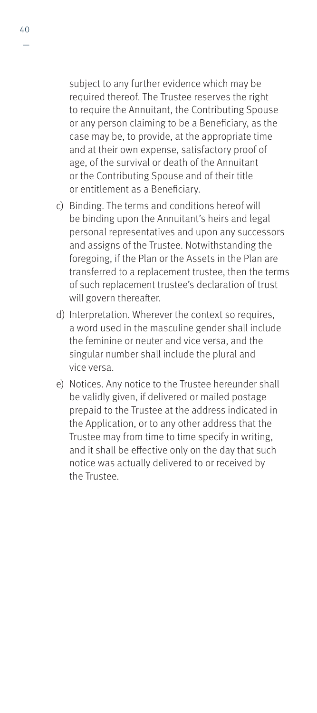subject to any further evidence which may be required thereof. The Trustee reserves the right to require the Annuitant, the Contributing Spouse or any person claiming to be a Beneficiary, as the case may be, to provide, at the appropriate time and at their own expense, satisfactory proof of age, of the survival or death of the Annuitant or the Contributing Spouse and of their title or entitlement as a Beneficiary.

- c) Binding. The terms and conditions hereof will be binding upon the Annuitant's heirs and legal personal representatives and upon any successors and assigns of the Trustee. Notwithstanding the foregoing, if the Plan or the Assets in the Plan are transferred to a replacement trustee, then the terms of such replacement trustee's declaration of trust will govern thereafter.
- d) Interpretation. Wherever the context so requires, a word used in the masculine gender shall include the feminine or neuter and vice versa, and the singular number shall include the plural and vice versa.
- e) Notices. Any notice to the Trustee hereunder shall be validly given, if delivered or mailed postage prepaid to the Trustee at the address indicated in the Application, or to any other address that the Trustee may from time to time specify in writing, and it shall be effective only on the day that such notice was actually delivered to or received by the Trustee.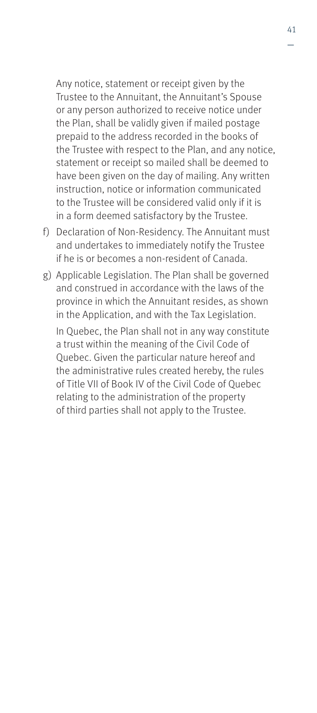Any notice, statement or receipt given by the Trustee to the Annuitant, the Annuitant's Spouse or any person authorized to receive notice under the Plan, shall be validly given if mailed postage prepaid to the address recorded in the books of the Trustee with respect to the Plan, and any notice, statement or receipt so mailed shall be deemed to have been given on the day of mailing. Any written instruction, notice or information communicated to the Trustee will be considered valid only if it is in a form deemed satisfactory by the Trustee.

- f) Declaration of Non-Residency. The Annuitant must and undertakes to immediately notify the Trustee if he is or becomes a non-resident of Canada.
- g) Applicable Legislation. The Plan shall be governed and construed in accordance with the laws of the province in which the Annuitant resides, as shown in the Application, and with the Tax Legislation.

 In Quebec, the Plan shall not in any way constitute a trust within the meaning of the Civil Code of Quebec. Given the particular nature hereof and the administrative rules created hereby, the rules of Title VII of Book IV of the Civil Code of Quebec relating to the administration of the property of third parties shall not apply to the Trustee.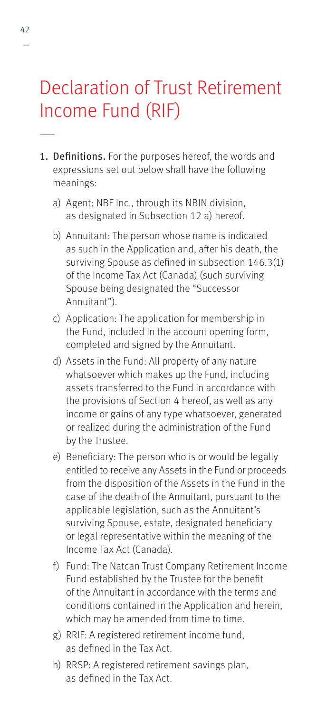# Declaration of Trust Retirement Income Fund (RIF)

- 1. Definitions. For the purposes hereof, the words and expressions set out below shall have the following meanings:
	- a) Agent: NBF Inc., through its NBIN division, as designated in Subsection 12 a) hereof.
	- b) Annuitant: The person whose name is indicated as such in the Application and, after his death, the surviving Spouse as defined in subsection 146.3(1) of the Income Tax Act (Canada) (such surviving Spouse being designated the "Successor Annuitant").
	- c) Application: The application for membership in the Fund, included in the account opening form, completed and signed by the Annuitant.
	- d) Assets in the Fund: All property of any nature whatsoever which makes up the Fund, including assets transferred to the Fund in accordance with the provisions of Section 4 hereof, as well as any income or gains of any type whatsoever, generated or realized during the administration of the Fund by the Trustee.
	- e) Beneficiary: The person who is or would be legally entitled to receive any Assets in the Fund or proceeds from the disposition of the Assets in the Fund in the case of the death of the Annuitant, pursuant to the applicable legislation, such as the Annuitant's surviving Spouse, estate, designated beneficiary or legal representative within the meaning of the Income Tax Act (Canada).
	- f) Fund: The Natcan Trust Company Retirement Income Fund established by the Trustee for the benefit of the Annuitant in accordance with the terms and conditions contained in the Application and herein, which may be amended from time to time.
	- g) RRIF: A registered retirement income fund, as defined in the Tax Act.
	- h) RRSP: A registered retirement savings plan, as defined in the Tax Act.

—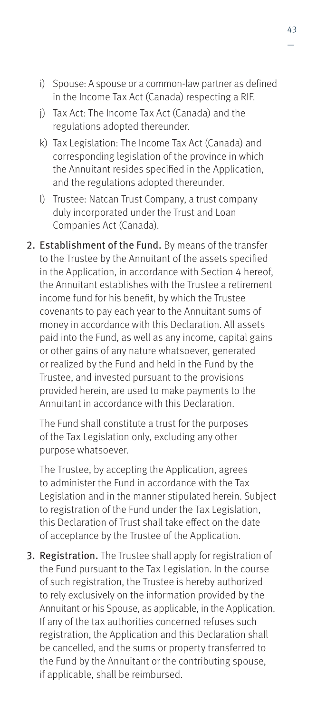- i) Spouse: A spouse or a common-law partner as defined in the Income Tax Act (Canada) respecting a RIF.
- j) Tax Act: The Income Tax Act (Canada) and the regulations adopted thereunder.
- k) Tax Legislation: The Income Tax Act (Canada) and corresponding legislation of the province in which the Annuitant resides specified in the Application, and the regulations adopted thereunder.
- l) Trustee: Natcan Trust Company, a trust company duly incorporated under the Trust and Loan Companies Act (Canada).
- 2. Establishment of the Fund. By means of the transfer to the Trustee by the Annuitant of the assets specified in the Application, in accordance with Section 4 hereof, the Annuitant establishes with the Trustee a retirement income fund for his benefit, by which the Trustee covenants to pay each year to the Annuitant sums of money in accordance with this Declaration. All assets paid into the Fund, as well as any income, capital gains or other gains of any nature whatsoever, generated or realized by the Fund and held in the Fund by the Trustee, and invested pursuant to the provisions provided herein, are used to make payments to the Annuitant in accordance with this Declaration.

 The Fund shall constitute a trust for the purposes of the Tax Legislation only, excluding any other purpose whatsoever.

 The Trustee, by accepting the Application, agrees to administer the Fund in accordance with the Tax Legislation and in the manner stipulated herein. Subject to registration of the Fund under the Tax Legislation, this Declaration of Trust shall take effect on the date of acceptance by the Trustee of the Application.

3. Registration. The Trustee shall apply for registration of the Fund pursuant to the Tax Legislation. In the course of such registration, the Trustee is hereby authorized to rely exclusively on the information provided by the Annuitant or his Spouse, as applicable, in the Application. If any of the tax authorities concerned refuses such registration, the Application and this Declaration shall be cancelled, and the sums or property transferred to the Fund by the Annuitant or the contributing spouse, if applicable, shall be reimbursed.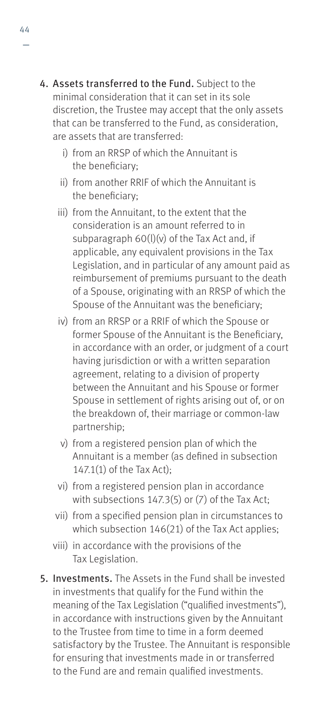- 4. Assets transferred to the Fund. Subject to the minimal consideration that it can set in its sole discretion, the Trustee may accept that the only assets that can be transferred to the Fund, as consideration, are assets that are transferred:
	- i) from an RRSP of which the Annuitant is the beneficiary;
	- ii) from another RRIF of which the Annuitant is the beneficiary;
	- iii) from the Annuitant, to the extent that the consideration is an amount referred to in subparagraph 60(l)(v) of the Tax Act and, if applicable, any equivalent provisions in the Tax Legislation, and in particular of any amount paid as reimbursement of premiums pursuant to the death of a Spouse, originating with an RRSP of which the Spouse of the Annuitant was the beneficiary;
	- iv) from an RRSP or a RRIF of which the Spouse or former Spouse of the Annuitant is the Beneficiary, in accordance with an order, or judgment of a court having jurisdiction or with a written separation agreement, relating to a division of property between the Annuitant and his Spouse or former Spouse in settlement of rights arising out of, or on the breakdown of, their marriage or common-law partnership;
	- v) from a registered pension plan of which the Annuitant is a member (as defined in subsection 147.1(1) of the Tax Act);
	- vi) from a registered pension plan in accordance with subsections 147.3(5) or (7) of the Tax Act;
	- vii) from a specified pension plan in circumstances to which subsection 146(21) of the Tax Act applies;
	- viii) in accordance with the provisions of the Tax Legislation.
- 5. Investments. The Assets in the Fund shall be invested in investments that qualify for the Fund within the meaning of the Tax Legislation ("qualified investments"), in accordance with instructions given by the Annuitant to the Trustee from time to time in a form deemed satisfactory by the Trustee. The Annuitant is responsible for ensuring that investments made in or transferred to the Fund are and remain qualified investments.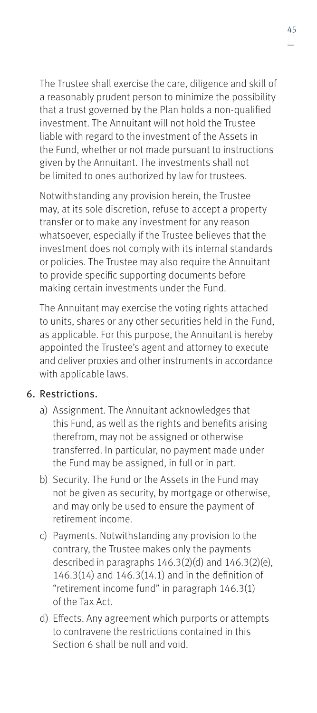The Trustee shall exercise the care, diligence and skill of a reasonably prudent person to minimize the possibility that a trust governed by the Plan holds a non-qualified investment. The Annuitant will not hold the Trustee liable with regard to the investment of the Assets in the Fund, whether or not made pursuant to instructions given by the Annuitant. The investments shall not be limited to ones authorized by law for trustees.

 Notwithstanding any provision herein, the Trustee may, at its sole discretion, refuse to accept a property transfer or to make any investment for any reason whatsoever, especially if the Trustee believes that the investment does not comply with its internal standards or policies. The Trustee may also require the Annuitant to provide specific supporting documents before making certain investments under the Fund.

 The Annuitant may exercise the voting rights attached to units, shares or any other securities held in the Fund, as applicable. For this purpose, the Annuitant is hereby appointed the Trustee's agent and attorney to execute and deliver proxies and other instruments in accordance with applicable laws.

#### 6. Restrictions.

- a) Assignment. The Annuitant acknowledges that this Fund, as well as the rights and benefits arising therefrom, may not be assigned or otherwise transferred. In particular, no payment made under the Fund may be assigned, in full or in part.
- b) Security. The Fund or the Assets in the Fund may not be given as security, by mortgage or otherwise, and may only be used to ensure the payment of retirement income.
- c) Payments. Notwithstanding any provision to the contrary, the Trustee makes only the payments described in paragraphs 146.3(2)(d) and 146.3(2)(e),  $146.3(14)$  and  $146.3(14.1)$  and in the definition of "retirement income fund" in paragraph 146.3(1) of the Tax Act.
- d) Effects. Any agreement which purports or attempts to contravene the restrictions contained in this Section 6 shall be null and void.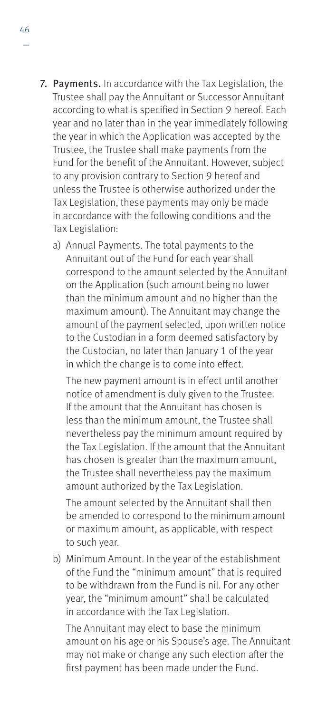- 7. Payments. In accordance with the Tax Legislation, the Trustee shall pay the Annuitant or Successor Annuitant according to what is specified in Section 9 hereof. Each year and no later than in the year immediately following the year in which the Application was accepted by the Trustee, the Trustee shall make payments from the Fund for the benefit of the Annuitant. However, subject to any provision contrary to Section 9 hereof and unless the Trustee is otherwise authorized under the Tax Legislation, these payments may only be made in accordance with the following conditions and the Tax Legislation:
	- a) Annual Payments. The total payments to the Annuitant out of the Fund for each year shall correspond to the amount selected by the Annuitant on the Application (such amount being no lower than the minimum amount and no higher than the maximum amount). The Annuitant may change the amount of the payment selected, upon written notice to the Custodian in a form deemed satisfactory by the Custodian, no later than January 1 of the year in which the change is to come into effect.

The new payment amount is in effect until another notice of amendment is duly given to the Trustee. If the amount that the Annuitant has chosen is less than the minimum amount, the Trustee shall nevertheless pay the minimum amount required by the Tax Legislation. If the amount that the Annuitant has chosen is greater than the maximum amount, the Trustee shall nevertheless pay the maximum amount authorized by the Tax Legislation.

 The amount selected by the Annuitant shall then be amended to correspond to the minimum amount or maximum amount, as applicable, with respect to such year.

 b) Minimum Amount. In the year of the establishment of the Fund the "minimum amount" that is required to be withdrawn from the Fund is nil. For any other year, the "minimum amount" shall be calculated in accordance with the Tax Legislation.

 The Annuitant may elect to base the minimum amount on his age or his Spouse's age. The Annuitant may not make or change any such election after the first payment has been made under the Fund.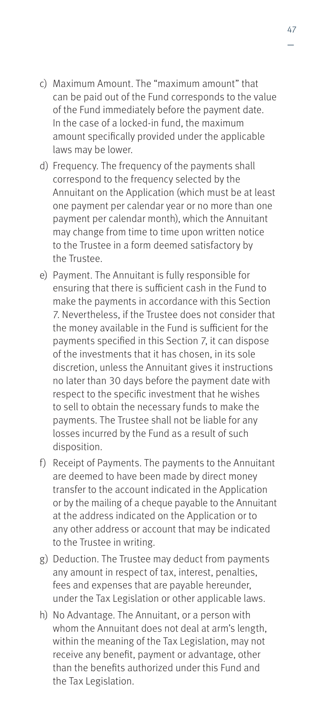- c) Maximum Amount. The "maximum amount" that can be paid out of the Fund corresponds to the value of the Fund immediately before the payment date. In the case of a locked-in fund, the maximum amount specifically provided under the applicable laws may be lower.
- d) Frequency. The frequency of the payments shall correspond to the frequency selected by the Annuitant on the Application (which must be at least one payment per calendar year or no more than one payment per calendar month), which the Annuitant may change from time to time upon written notice to the Trustee in a form deemed satisfactory by the Trustee.
- e) Payment. The Annuitant is fully responsible for ensuring that there is sufficient cash in the Fund to make the payments in accordance with this Section 7. Nevertheless, if the Trustee does not consider that the money available in the Fund is sufficient for the payments specified in this Section 7, it can dispose of the investments that it has chosen, in its sole discretion, unless the Annuitant gives it instructions no later than 30 days before the payment date with respect to the specific investment that he wishes to sell to obtain the necessary funds to make the payments. The Trustee shall not be liable for any losses incurred by the Fund as a result of such disposition.
- f) Receipt of Payments. The payments to the Annuitant are deemed to have been made by direct money transfer to the account indicated in the Application or by the mailing of a cheque payable to the Annuitant at the address indicated on the Application or to any other address or account that may be indicated to the Trustee in writing.
- g) Deduction. The Trustee may deduct from payments any amount in respect of tax, interest, penalties, fees and expenses that are payable hereunder, under the Tax Legislation or other applicable laws.
- h) No Advantage. The Annuitant, or a person with whom the Annuitant does not deal at arm's length, within the meaning of the Tax Legislation, may not receive any benefit, payment or advantage, other than the benefits authorized under this Fund and the Tax Legislation.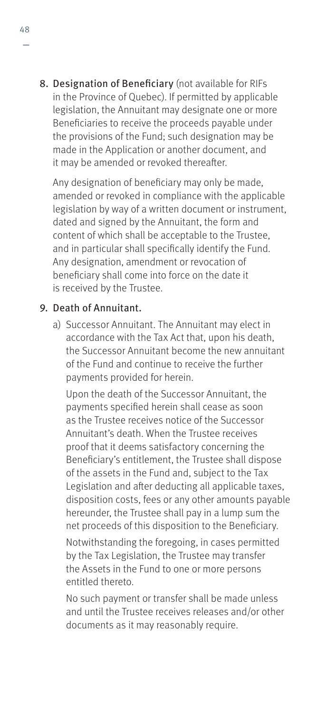8. Designation of Beneficiary (not available for RIFs in the Province of Quebec). If permitted by applicable legislation, the Annuitant may designate one or more Beneficiaries to receive the proceeds payable under the provisions of the Fund; such designation may be made in the Application or another document, and it may be amended or revoked thereafter.

Any designation of beneficiary may only be made, amended or revoked in compliance with the applicable legislation by way of a written document or instrument, dated and signed by the Annuitant, the form and content of which shall be acceptable to the Trustee, and in particular shall specifically identify the Fund. Any designation, amendment or revocation of beneficiary shall come into force on the date it is received by the Trustee.

#### 9. Death of Annuitant.

 a) Successor Annuitant. The Annuitant may elect in accordance with the Tax Act that, upon his death, the Successor Annuitant become the new annuitant of the Fund and continue to receive the further payments provided for herein.

 Upon the death of the Successor Annuitant, the payments specified herein shall cease as soon as the Trustee receives notice of the Successor Annuitant's death. When the Trustee receives proof that it deems satisfactory concerning the Beneficiary's entitlement, the Trustee shall dispose of the assets in the Fund and, subject to the Tax Legislation and after deducting all applicable taxes, disposition costs, fees or any other amounts payable hereunder, the Trustee shall pay in a lump sum the net proceeds of this disposition to the Beneficiary.

 Notwithstanding the foregoing, in cases permitted by the Tax Legislation, the Trustee may transfer the Assets in the Fund to one or more persons entitled thereto.

 No such payment or transfer shall be made unless and until the Trustee receives releases and/or other documents as it may reasonably require.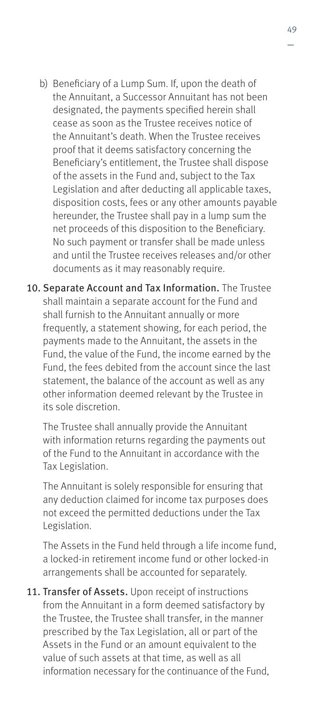- b) Beneficiary of a Lump Sum. If, upon the death of the Annuitant, a Successor Annuitant has not been designated, the payments specified herein shall cease as soon as the Trustee receives notice of the Annuitant's death. When the Trustee receives proof that it deems satisfactory concerning the Beneficiary's entitlement, the Trustee shall dispose of the assets in the Fund and, subject to the Tax Legislation and after deducting all applicable taxes, disposition costs, fees or any other amounts payable hereunder, the Trustee shall pay in a lump sum the net proceeds of this disposition to the Beneficiary. No such payment or transfer shall be made unless and until the Trustee receives releases and/or other documents as it may reasonably require.
- 10. Separate Account and Tax Information. The Trustee shall maintain a separate account for the Fund and shall furnish to the Annuitant annually or more frequently, a statement showing, for each period, the payments made to the Annuitant, the assets in the Fund, the value of the Fund, the income earned by the Fund, the fees debited from the account since the last statement, the balance of the account as well as any other information deemed relevant by the Trustee in its sole discretion.

 The Trustee shall annually provide the Annuitant with information returns regarding the payments out of the Fund to the Annuitant in accordance with the Tax Legislation.

 The Annuitant is solely responsible for ensuring that any deduction claimed for income tax purposes does not exceed the permitted deductions under the Tax Legislation.

 The Assets in the Fund held through a life income fund, a locked-in retirement income fund or other locked-in arrangements shall be accounted for separately.

11. Transfer of Assets. Upon receipt of instructions from the Annuitant in a form deemed satisfactory by the Trustee, the Trustee shall transfer, in the manner prescribed by the Tax Legislation, all or part of the Assets in the Fund or an amount equivalent to the value of such assets at that time, as well as all information necessary for the continuance of the Fund,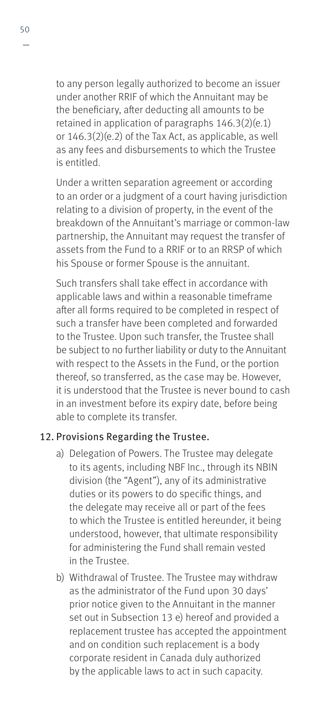to any person legally authorized to become an issuer under another RRIF of which the Annuitant may be the beneficiary, after deducting all amounts to be retained in application of paragraphs 146.3(2)(e.1) or 146.3(2)(e.2) of the Tax Act, as applicable, as well as any fees and disbursements to which the Trustee is entitled.

 Under a written separation agreement or according to an order or a judgment of a court having jurisdiction relating to a division of property, in the event of the breakdown of the Annuitant's marriage or common-law partnership, the Annuitant may request the transfer of assets from the Fund to a RRIF or to an RRSP of which his Spouse or former Spouse is the annuitant.

Such transfers shall take effect in accordance with applicable laws and within a reasonable timeframe after all forms required to be completed in respect of such a transfer have been completed and forwarded to the Trustee. Upon such transfer, the Trustee shall be subject to no further liability or duty to the Annuitant with respect to the Assets in the Fund, or the portion thereof, so transferred, as the case may be. However, it is understood that the Trustee is never bound to cash in an investment before its expiry date, before being able to complete its transfer.

#### 12. Provisions Regarding the Trustee.

- a) Delegation of Powers. The Trustee may delegate to its agents, including NBF Inc., through its NBIN division (the "Agent"), any of its administrative duties or its powers to do specific things, and the delegate may receive all or part of the fees to which the Trustee is entitled hereunder, it being understood, however, that ultimate responsibility for administering the Fund shall remain vested in the Trustee.
- b) Withdrawal of Trustee. The Trustee may withdraw as the administrator of the Fund upon 30 days' prior notice given to the Annuitant in the manner set out in Subsection 13 e) hereof and provided a replacement trustee has accepted the appointment and on condition such replacement is a body corporate resident in Canada duly authorized by the applicable laws to act in such capacity.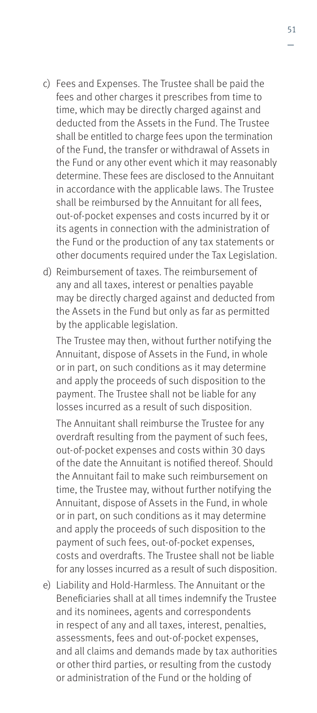- c) Fees and Expenses. The Trustee shall be paid the fees and other charges it prescribes from time to time, which may be directly charged against and deducted from the Assets in the Fund. The Trustee shall be entitled to charge fees upon the termination of the Fund, the transfer or withdrawal of Assets in the Fund or any other event which it may reasonably determine. These fees are disclosed to the Annuitant in accordance with the applicable laws. The Trustee shall be reimbursed by the Annuitant for all fees, out-of-pocket expenses and costs incurred by it or its agents in connection with the administration of the Fund or the production of any tax statements or other documents required under the Tax Legislation.
- d) Reimbursement of taxes. The reimbursement of any and all taxes, interest or penalties payable may be directly charged against and deducted from the Assets in the Fund but only as far as permitted by the applicable legislation.

 The Trustee may then, without further notifying the Annuitant, dispose of Assets in the Fund, in whole or in part, on such conditions as it may determine and apply the proceeds of such disposition to the payment. The Trustee shall not be liable for any losses incurred as a result of such disposition.

 The Annuitant shall reimburse the Trustee for any overdraft resulting from the payment of such fees, out-of-pocket expenses and costs within 30 days of the date the Annuitant is notified thereof. Should the Annuitant fail to make such reimbursement on time, the Trustee may, without further notifying the Annuitant, dispose of Assets in the Fund, in whole or in part, on such conditions as it may determine and apply the proceeds of such disposition to the payment of such fees, out-of-pocket expenses, costs and overdrafts. The Trustee shall not be liable for any losses incurred as a result of such disposition.

 e) Liability and Hold-Harmless. The Annuitant or the Beneficiaries shall at all times indemnify the Trustee and its nominees, agents and correspondents in respect of any and all taxes, interest, penalties, assessments, fees and out-of-pocket expenses, and all claims and demands made by tax authorities or other third parties, or resulting from the custody or administration of the Fund or the holding of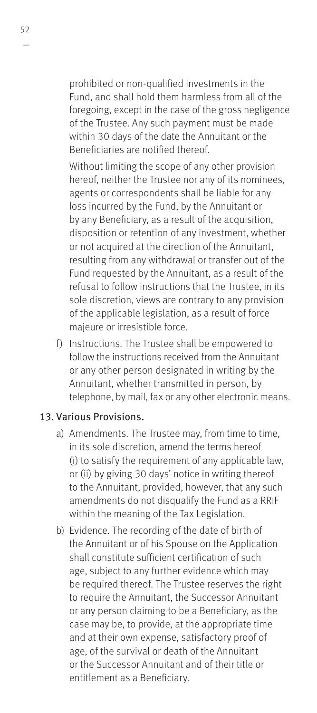prohibited or non-qualified investments in the Fund, and shall hold them harmless from all of the foregoing, except in the case of the gross negligence of the Trustee. Any such payment must be made within 30 days of the date the Annuitant or the Beneficiaries are notified thereof.

 Without limiting the scope of any other provision hereof, neither the Trustee nor any of its nominees, agents or correspondents shall be liable for any loss incurred by the Fund, by the Annuitant or by any Beneficiary, as a result of the acquisition, disposition or retention of any investment, whether or not acquired at the direction of the Annuitant, resulting from any withdrawal or transfer out of the Fund requested by the Annuitant, as a result of the refusal to follow instructions that the Trustee, in its sole discretion, views are contrary to any provision of the applicable legislation, as a result of force majeure or irresistible force.

 f) Instructions. The Trustee shall be empowered to follow the instructions received from the Annuitant or any other person designated in writing by the Annuitant, whether transmitted in person, by telephone, by mail, fax or any other electronic means.

#### 13. Various Provisions.

- a) Amendments. The Trustee may, from time to time, in its sole discretion, amend the terms hereof (i) to satisfy the requirement of any applicable law, or (ii) by giving 30 days' notice in writing thereof to the Annuitant, provided, however, that any such amendments do not disqualify the Fund as a RRIF within the meaning of the Tax Legislation.
- b) Evidence. The recording of the date of birth of the Annuitant or of his Spouse on the Application shall constitute sufficient certification of such age, subject to any further evidence which may be required thereof. The Trustee reserves the right to require the Annuitant, the Successor Annuitant or any person claiming to be a Beneficiary, as the case may be, to provide, at the appropriate time and at their own expense, satisfactory proof of age, of the survival or death of the Annuitant or the Successor Annuitant and of their title or entitlement as a Beneficiary.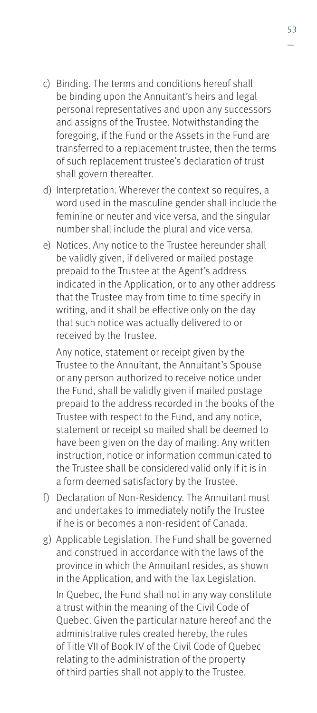- c) Binding. The terms and conditions hereof shall be binding upon the Annuitant's heirs and legal personal representatives and upon any successors and assigns of the Trustee. Notwithstanding the foregoing, if the Fund or the Assets in the Fund are transferred to a replacement trustee, then the terms of such replacement trustee's declaration of trust shall govern thereafter.
- d) Interpretation. Wherever the context so requires, a word used in the masculine gender shall include the feminine or neuter and vice versa, and the singular number shall include the plural and vice versa.
- e) Notices. Any notice to the Trustee hereunder shall be validly given, if delivered or mailed postage prepaid to the Trustee at the Agent's address indicated in the Application, or to any other address that the Trustee may from time to time specify in writing, and it shall be effective only on the day that such notice was actually delivered to or received by the Trustee.

 Any notice, statement or receipt given by the Trustee to the Annuitant, the Annuitant's Spouse or any person authorized to receive notice under the Fund, shall be validly given if mailed postage prepaid to the address recorded in the books of the Trustee with respect to the Fund, and any notice, statement or receipt so mailed shall be deemed to have been given on the day of mailing. Any written instruction, notice or information communicated to the Trustee shall be considered valid only if it is in a form deemed satisfactory by the Trustee.

- f) Declaration of Non-Residency. The Annuitant must and undertakes to immediately notify the Trustee if he is or becomes a non-resident of Canada.
- g) Applicable Legislation. The Fund shall be governed and construed in accordance with the laws of the province in which the Annuitant resides, as shown in the Application, and with the Tax Legislation.

 In Quebec, the Fund shall not in any way constitute a trust within the meaning of the Civil Code of Quebec. Given the particular nature hereof and the administrative rules created hereby, the rules of Title VII of Book IV of the Civil Code of Quebec relating to the administration of the property of third parties shall not apply to the Trustee.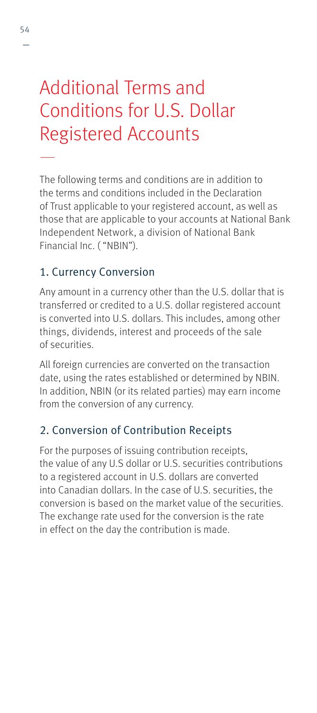# Additional Terms and Conditions for U.S. Dollar Registered Accounts

The following terms and conditions are in addition to the terms and conditions included in the Declaration of Trust applicable to your registered account, as well as those that are applicable to your accounts at National Bank Independent Network, a division of National Bank Financial Inc. ( "NBIN").

#### 1. Currency Conversion

Any amount in a currency other than the U.S. dollar that is transferred or credited to a U.S. dollar registered account is converted into U.S. dollars. This includes, among other things, dividends, interest and proceeds of the sale of securities.

All foreign currencies are converted on the transaction date, using the rates established or determined by NBIN. In addition, NBIN (or its related parties) may earn income from the conversion of any currency.

#### 2. Conversion of Contribution Receipts

For the purposes of issuing contribution receipts, the value of any U.S dollar or U.S. securities contributions to a registered account in U.S. dollars are converted into Canadian dollars. In the case of U.S. securities, the conversion is based on the market value of the securities. The exchange rate used for the conversion is the rate in effect on the day the contribution is made.

—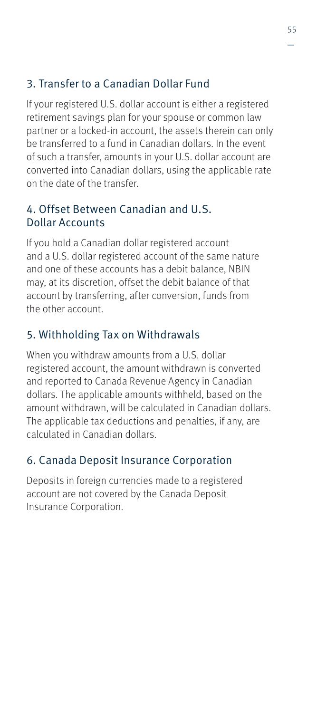#### 3. Transfer to a Canadian Dollar Fund

If your registered U.S. dollar account is either a registered retirement savings plan for your spouse or common law partner or a locked-in account, the assets therein can only be transferred to a fund in Canadian dollars. In the event of such a transfer, amounts in your U.S. dollar account are converted into Canadian dollars, using the applicable rate on the date of the transfer.

#### 4. Offset Between Canadian and U.S. Dollar Accounts

If you hold a Canadian dollar registered account and a U.S. dollar registered account of the same nature and one of these accounts has a debit balance, NBIN may, at its discretion, offset the debit balance of that account by transferring, after conversion, funds from the other account.

#### 5. Withholding Tax on Withdrawals

When you withdraw amounts from a U.S. dollar registered account, the amount withdrawn is converted and reported to Canada Revenue Agency in Canadian dollars. The applicable amounts withheld, based on the amount withdrawn, will be calculated in Canadian dollars. The applicable tax deductions and penalties, if any, are calculated in Canadian dollars.

#### 6. Canada Deposit Insurance Corporation

Deposits in foreign currencies made to a registered account are not covered by the Canada Deposit Insurance Corporation.